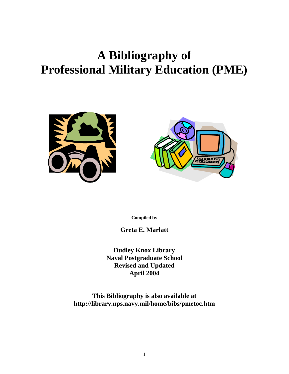# **A Bibliography of Professional Military Education (PME)**





**Compiled by**

**Greta E. Marlatt** 

**Dudley Knox Library Naval Postgraduate School Revised and Updated April 2004** 

**This Bibliography is also available at http://library.nps.navy.mil/home/bibs/pmetoc.htm**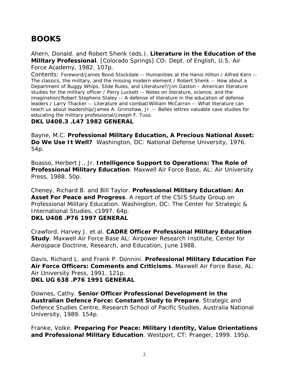## **BOOKS**

Ahern, Donald. and Robert Shenk (eds.). **Literature in the Education of the Military Professional**. [Colorado Springs] CO: Dept. of English, U.S. Air Force Academy, 1982. 107p.

Contents: Foreword/James Bond Stockdale -- Humanities at the Hanoi Hilton / Alfred Kern -- The classics, the military, and the missing modern element / Robert Shenk -- How about a Department of Buggy Whips, Slide Rules, and Literature?/Jim Gaston – American literature studies for the military officer / Perry Luckett -- Notes on literature, science, and the imagination/Robert Stephens Staley -- A defense of literature in the education of defense leaders / Larry Thacker -- Literature and combat/William McCarron -- What literature can teach us about leadership/James A. Grimshaw, Jr. -- Belles lettres valuable case studies for educating the military professional/Joseph F. Tuso.

#### **DKL U408.3 .L47 1982 GENERAL**

Bayne, M.C. **Professional Military Education, A Precious National Asset: Do We Use It Well?** Washington, DC: National Defense University, 1976. 54p.

Boasso, Herbert J., Jr. **Intelligence Support to Operations: The Role of Professional Military Education**. Maxwell Air Force Base, AL: Air University Press, 1988. 50p.

Cheney, Richard B. and Bill Taylor. **Professional Military Education: An Asset For Peace and Progress**. A report of the CSIS Study Group on Professional Military Education. Washington, DC: The Center for Strategic & International Studies, c1997. 64p. **DKL U408 .P76 1997 GENERAL** 

Crawford, Harvey J. et al. **CADRE Officer Professional Military Education Study**. Maxwell Air Force Base AL: Airpower Research Institute, Center for Aerospace Doctrine, Research, and Education, June 1988.

Davis, Richard L. and Frank P. Donnini. **Professional Military Education For Air Force Officers: Comments and Criticisms**. Maxwell Air Force Base, AL: Air University Press, 1991. 121p. **DKL UG 638 .P76 1991 GENERAL**

Downes, Cathy. **Senior Officer Professional Development in the Australian Defence Force: Constant Study to Prepare**. Strategic and Defence Studies Centre, Research School of Pacific Studies, Australia National University, 1989. 154p.

Franke, Volke. **Preparing For Peace: Military Identity, Value Orientations and Professional Military Education**. Westport, CT: Praeger, 1999. 195p.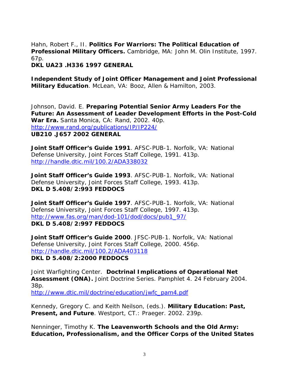Hahn, Robert F., II. **Politics For Warriors: The Political Education of Professional Military Officers.** Cambridge, MA: John M. Olin Institute, 1997. 67p.

**DKL UA23 .H336 1997 GENERAL**

**Independent Study of Joint Officer Management and Joint Professional Military Education**. McLean, VA: Booz, Allen & Hamilton, 2003.

Johnson, David. E. **Preparing Potential Senior Army Leaders For the Future: An Assessment of Leader Development Efforts in the Post-Cold War Era.** Santa Monica, CA: Rand, 2002. 40p. <http://www.rand.org/publications/IP/IP224/> **UB210 .J657 2002 GENERAL**

**Joint Staff Officer's Guide 1991**. AFSC-PUB-1. Norfolk, VA: National Defense University, Joint Forces Staff College, 1991. 413p. <http://handle.dtic.mil/100.2/ADA338032>

**Joint Staff Officer's Guide 1993**. AFSC-PUB-1. Norfolk, VA: National Defense University, Joint Forces Staff College, 1993. 413p. **DKL D 5.408/2:993 FEDDOCS** 

**Joint Staff Officer's Guide 1997**. AFSC-PUB-1. Norfolk, VA: National Defense University, Joint Forces Staff College, 1997. 413p. http://www.fas.org/man/dod-101/dod/docs/pub1\_97/ **DKL D 5.408/2:997 FEDDOCS** 

**Joint Staff Officer's Guide 2000**. JFSC-PUB-1. Norfolk, VA: National Defense University, Joint Forces Staff College, 2000. 456p. <http://handle.dtic.mil/100.2/ADA403118> **DKL D 5.408/2:2000 FEDDOCS** 

Joint Warfighting Center. **Doctrinal Implications of Operational Net Assessment (ONA).** Joint Doctrine Series. Pamphlet 4. 24 February 2004. 38p.

[http://www.dtic.mil/doctrine/education/jwfc\\_pam4.pdf](http://www.dtic.mil/doctrine/education/jwfc_pam4.pdf)

Kennedy, Gregory C. and Keith Neilson, (eds.). **Military Education: Past, Present, and Future**. Westport, CT.: Praeger. 2002. 239p.

Nenninger, Timothy K. **The Leavenworth Schools and the Old Army: Education, Professionalism, and the Officer Corps of the United States**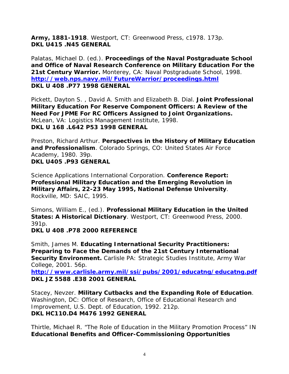**Army, 1881-1918**. Westport, CT: Greenwood Press, c1978. 173p. **DKL U415 .N45 GENERAL**

Palatas, Michael D. (ed.). **Proceedings of the Naval Postgraduate School and Office of Naval Research Conference on Military Education For the 21st Century Warrior.** Monterey, CA: Naval Postgraduate School, 1998. **<http://web.nps.navy.mil/FutureWarrior/proceedings.html> DKL U 408 .P77 1998 GENERAL** 

Pickett, Dayton S. , David A. Smith and Elizabeth B. Dial. **Joint Professional Military Education For Reserve Component Officers: A Review of the Need For JPME For RC Officers Assigned to Joint Organizations.** McLean, VA: Logistics Management Institute, 1998. **DKL U 168 .L642 P53 1998 GENERAL** 

Preston, Richard Arthur. **Perspectives in the History of Military Education and Professionalism**. Colorado Springs, CO: United States Air Force Academy, 1980. 39p. **DKL U405 .P93 GENERAL** 

Science Applications International Corporation. **Conference Report: Professional Military Education and the Emerging Revolution in Military Affairs, 22-23 May 1995, National Defense University**. Rockville, MD: SAIC, 1995.

Simons, William E., (ed.). **Professional Military Education in the United States: A Historical Dictionary**. Westport, CT: Greenwood Press, 2000. 391p.

**DKL U 408 .P78 2000 REFERENCE** 

Smith, James M. **Educating International Security Practitioners: Preparing to Face the Demands of the 21st Century International Security Environment.** Carlisle PA: Strategic Studies Institute, Army War College, 2001. 56p.

**http://www.carlisle.army.mil/ssi/pubs/2001/educatng/educatng.pdf DKL JZ 5588 .E38 2001 GENERAL**

Stacey, Nevzer. **Military Cutbacks and the Expanding Role of Education**. Washington, DC: Office of Research, Office of Educational Research and Improvement, U.S. Dept. of Education, 1992. 212p. **DKL HC110.D4 M476 1992 GENERAL**

Thirtle, Michael R. "The Role of Education in the Military Promotion Process" IN **Educational Benefits and Officer-Commissioning Opportunities**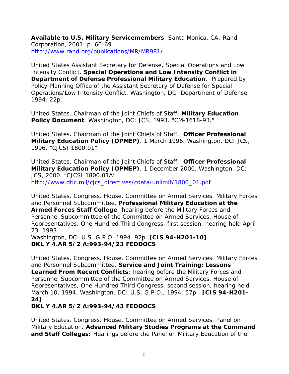**Available to U.S. Military Servicemembers**. Santa Monica, CA: Rand Corporation, 2001. p. 60-69. <http://www.rand.org/publications/MR/MR981/>

United States Assistant Secretary for Defense, Special Operations and Low Intensity Conflict. **Special Operations and Low Intensity Conflict in Department of Defense Professional Military Education**. Prepared by Policy Planning Office of the Assistant Secretary of Defense for Special Operations/Low Intensity Conflict. Washington, DC: Department of Defense, 1994. 22p.

United States. Chairman of the Joint Chiefs of Staff. **Military Education Policy Document**. Washington, DC: JCS, 1993. "CM-1618-93."

United States. Chairman of the Joint Chiefs of Staff. **Officer Professional Military Education Policy (OPMEP)**. 1 March 1996. Washington, DC: JCS, 1996. "CJCSI 1800.01"

United States. Chairman of the Joint Chiefs of Staff. **Officer Professional Military Education Policy (OPMEP)**. 1 December 2000. Washington, DC: JCS, 2000. "CJCSI 1800.01A" http://www.dtic.mil/cjcs\_directives/cdata/unlimit/1800\_01.pdf

United States. Congress. House. Committee on Armed Services. Military Forces and Personnel Subcommittee. **Professional Military Education at the Armed Forces Staff College**: hearing before the Military Forces and Personnel Subcommittee of the Committee on Armed Services, House of Representatives, One Hundred Third Congress, first session, hearing held April 23, 1993.

Washington, DC: U.S. G.P.O.,1994. 92p **[CIS 94-H201-10] DKL Y 4.AR 5/2 A:993-94/23 FEDDOCS**

United States. Congress. House. Committee on Armed Services. Military Forces and Personnel Subcommittee. **Service and Joint Training: Lessons Learned From Recent Conflicts**: hearing before the Military Forces and Personnel Subcommittee of the Committee on Armed Services, House of Representatives, One Hundred Third Congress, second session, hearing held March 10, 1994. Washington, DC: U.S. G.P.O., 1994. 57p. **[CIS 94-H201- 24]** 

### **DKL Y 4.AR 5/2 A:993-94/43 FEDDOCS**

United States. Congress. House. Committee on Armed Services. Panel on Military Education. **Advanced Military Studies Programs at the Command and Staff Colleges**: Hearings before the Panel on Military Education of the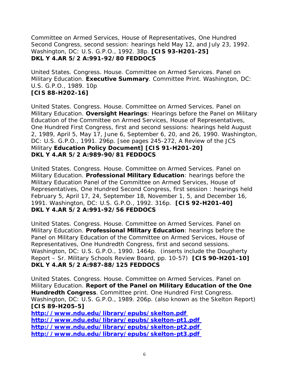Committee on Armed Services, House of Representatives, One Hundred Second Congress, second session: hearings held May 12, and July 23, 1992. Washington, DC: U.S. G.P.O., 1992. 38p. **[CIS 93-H201-25] DKL Y 4.AR 5/2 A:991-92/80 FEDDOCS** 

United States. Congress. House. Committee on Armed Services. Panel on Military Education. **Executive Summary**. Committee Print. Washington, DC: U.S. G.P.O., 1989. 10p **[CIS 88-H202-16]** 

United States. Congress. House. Committee on Armed Services. Panel on Military Education. **Oversight Hearings**: Hearings before the Panel on Military Education of the Committee on Armed Services, House of Representatives, One Hundred First Congress, first and second sessions: hearings held August 2, 1989, April 5, May 17, June 6, September 6, 20, and 26, 1990. Washington, DC: U.S. G.P.O., 1991. 296p. [see pages 245-272, A Review of the JCS Military **Education Policy Document] [CIS 91-H201-20] DKL Y 4.AR 5/2 A:989-90/81 FEDDOCS** 

United States. Congress. House. Committee on Armed Services. Panel on Military Education. **Professional Military Education**: hearings before the Military Education Panel of the Committee on Armed Services, House of Representatives, One Hundred Second Congress, first session : hearings held February 5, April 17, 24, September 18, November 1, 5, and December 16, 1991. Washington, DC: U.S. G.P.O., 1992. 316p. **[CIS 92-H201-40] DKL Y 4.AR 5/2 A:991-92/56 FEDDOCS**

United States. Congress. House. Committee on Armed Services. Panel on Military Education. **Professional Military Education**: hearings before the Panel on Military Education of the Committee on Armed Services, House of Representatives, One Hundredth Congress, first and second sessions. Washington, DC: U.S. G.P.O., 1990. 1464p. (inserts include the Dougherty Report – Sr. Military Schools Review Board, pp. 10-57) **[CIS 90-H201-10] DKL Y 4.AR 5/2 A:987-88/125 FEDDOCS** 

United States. Congress. House. Committee on Armed Services. Panel on Military Education. **Report of the Panel on Military Education of the One Hundredth Congress**. Committee print. One Hundred First Congress. Washington, DC: U.S. G.P.O., 1989. 206p. (also known as the Skelton Report) **[CIS 89-H205-5] http://www.ndu.edu/library/epubs/skelton.pdf http://www.ndu.edu/library/epubs/skelton-pt1.pdf http://www.ndu.edu/library/epubs/skelton-pt2.pdf http://www.ndu.edu/library/epubs/skelton-pt3.pdf**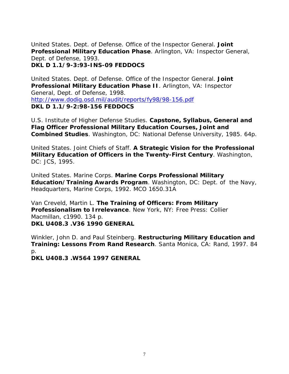United States. Dept. of Defense. Office of the Inspector General. **Joint Professional Military Education Phase**. Arlington, VA: Inspector General, Dept. of Defense, 1993.

**DKL D 1.1/9-3:93-INS-09 FEDDOCS** 

United States. Dept. of Defense. Office of the Inspector General. **Joint Professional Military Education Phase II**. Arlington, VA: Inspector General, Dept. of Defense, 1998. <http://www.dodig.osd.mil/audit/reports/fy98/98-156.pdf> **DKL D 1.1/9-2:98-156 FEDDOCS** 

U.S. Institute of Higher Defense Studies. **Capstone, Syllabus, General and Flag Officer Professional Military Education Courses, Joint and Combined Studies**. Washington, DC: National Defense University, 1985. 64p.

United States. Joint Chiefs of Staff. **A Strategic Vision for the Professional Military Education of Officers in the Twenty-First Century**. Washington, DC: JCS, 1995.

United States. Marine Corps. **Marine Corps Professional Military Education/Training Awards Program**. Washington, DC: Dept. of the Navy, Headquarters, Marine Corps, 1992. MCO 1650.31A

Van Creveld, Martin L. **The Training of Officers: From Military Professionalism to Irrelevance**. New York, NY: Free Press: Collier Macmillan, c1990. 134 p. **DKL U408.3 .V36 1990 GENERAL** 

Winkler, John D. and Paul Steinberg. **Restructuring Military Education and Training: Lessons From Rand Research**. Santa Monica, CA: Rand, 1997. 84 p.

**DKL U408.3 .W564 1997 GENERAL**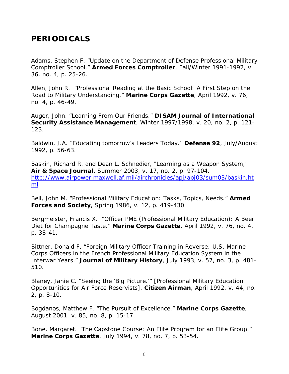## **PERIODICALS**

Adams, Stephen F. "Update on the Department of Defense Professional Military Comptroller School." **Armed Forces Comptroller**, Fall/Winter 1991-1992, v. 36, no. 4, p. 25-26.

Allen, John R. "Professional Reading at the Basic School: A First Step on the Road to Military Understanding." **Marine Corps Gazette**, April 1992, v. 76, no. 4, p. 46-49.

Auger, John. "Learning From Our Friends." **DISAM Journal of International Security Assistance Management**, Winter 1997/1998, v. 20, no. 2, p. 121- 123.

Baldwin, J.A. "Educating tomorrow's Leaders Today." **Defense 92**, July/August 1992, p. 56-63.

Baskin, Richard R. and Dean L. Schnedier, "Learning as a Weapon System," **Air & Space Journal**, Summer 2003, v. 17, no. 2, p. 97-104. [http://www.airpower.maxwell.af.mil/airchronicles/apj/apj03/sum03/baskin.ht](http://www.airpower.maxwell.af.mil/airchronicles/apj/apj03/sum03/baskin.html) [ml](http://www.airpower.maxwell.af.mil/airchronicles/apj/apj03/sum03/baskin.html) 

Bell, John M. "Professional Military Education: Tasks, Topics, Needs." **Armed Forces and Society**, Spring 1986, v. 12, p. 419-430.

Bergmeister, Francis X. "Officer PME (Professional Military Education): A Beer Diet for Champagne Taste." **Marine Corps Gazette**, April 1992, v. 76, no. 4, p. 38-41.

Bittner, Donald F. "Foreign Military Officer Training in Reverse: U.S. Marine Corps Officers in the French Professional Military Education System in the Interwar Years." **Journal of Military History**, July 1993, v. 57, no. 3, p. 481- 510.

Blaney, Janie C. "Seeing the 'Big Picture.'" [Professional Military Education Opportunities for Air Force Reservists]. **Citizen Airman**, April 1992, v. 44, no. 2, p. 8-10.

Bogdanos, Matthew F. "The Pursuit of Excellence." **Marine Corps Gazette**, August 2001, v. 85, no. 8, p. 15-17.

Bone, Margaret. "The Capstone Course: An Elite Program for an Elite Group." **Marine Corps Gazette**, July 1994, v. 78, no. 7, p. 53-54.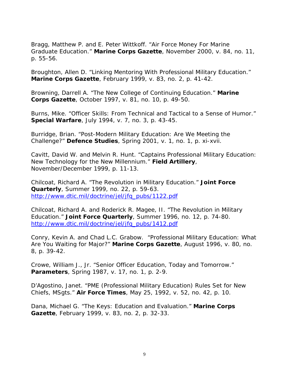Bragg, Matthew P. and E. Peter Wittkoff. "Air Force Money For Marine Graduate Education." **Marine Corps Gazette**, November 2000, v. 84, no. 11, p. 55-56.

Broughton, Allen D. "Linking Mentoring With Professional Military Education." **Marine Corps Gazette**, February 1999, v. 83, no. 2, p. 41-42.

Browning, Darrell A. "The New College of Continuing Education." **Marine Corps Gazette**, October 1997, v. 81, no. 10, p. 49-50.

Burns, Mike. "Officer Skills: From Technical and Tactical to a Sense of Humor." **Special Warfare**, July 1994, v. 7, no. 3, p. 43-45.

Burridge, Brian. "Post-Modern Military Education: Are We Meeting the Challenge?" **Defence Studies**, Spring 2001, v. 1, no. 1, p. xi-xvii.

Cavitt, David W. and Melvin R. Hunt. "Captains Professional Military Education: New Technology for the New Millennium." **Field Artillery**, November/December 1999, p. 11-13.

Chilcoat, Richard A. "The Revolution in Military Education." **Joint Force Quarterly**, Summer 1999, no. 22, p. 59-63. [http://www.dtic.mil/doctrine/jel/jfq\\_pubs/1122.pdf](http://www.dtic.mil/doctrine/jel/jfq_pubs/1122.pdf) 

Chilcoat, Richard A. and Roderick R. Magee, II. "The Revolution in Military Education." **Joint Force Quarterly**, Summer 1996, no. 12, p. 74-80. [http://www.dtic.mil/doctrine/jel/jfq\\_pubs/1412.pdf](http://www.dtic.mil/doctrine/jel/jfq_pubs/1412.pdf) 

Conry, Kevin A. and Chad L.C. Grabow. "Professional Military Education: What Are You Waiting for Major?" **Marine Corps Gazette**, August 1996, v. 80, no. 8, p. 39-42.

Crowe, William J., Jr. "Senior Officer Education, Today and Tomorrow." **Parameters**, Spring 1987, v. 17, no. 1, p. 2-9.

D'Agostino, Janet. "PME (Professional Military Education) Rules Set for New Chiefs, MSgts." **Air Force Times**, May 25, 1992, v. 52, no. 42, p. 10.

Dana, Michael G. "The Keys: Education and Evaluation." **Marine Corps Gazette**, February 1999, v. 83, no. 2, p. 32-33.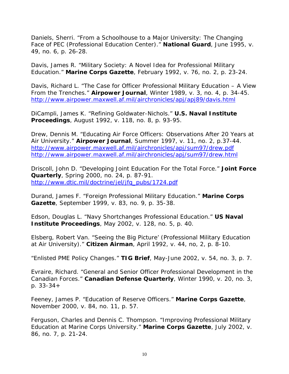Daniels, Sherri. "From a Schoolhouse to a Major University: The Changing Face of PEC (Professional Education Center)." **National Guard**, June 1995, v. 49, no. 6, p. 26-28.

Davis, James R. "Military Society: A Novel Idea for Professional Military Education." **Marine Corps Gazette**, February 1992, v. 76, no. 2, p. 23-24.

Davis, Richard L. "The Case for Officer Professional Military Education – A View From the Trenches." **Airpower Journal**, Winter 1989, v. 3, no. 4, p. 34-45. <http://www.airpower.maxwell.af.mil/airchronicles/apj/apj89/davis.html>

DiCampli, James K. "Refining Goldwater-Nichols." **U.S. Naval Institute Proceedings**, August 1992, v. 118, no. 8, p. 93-95.

Drew, Dennis M. "Educating Air Force Officers: Observations After 20 Years at Air University." **Airpower Journal**, Summer 1997, v. 11, no. 2, p.37-44. <http://www.airpower.maxwell.af.mil/airchronicles/apj/sum97/drew.pdf> <http://www.airpower.maxwell.af.mil/airchronicles/apj/sum97/drew.html>

Driscoll, John D. "Developing Joint Education For the Total Force." **Joint Force Quarterly**, Spring 2000, no. 24, p. 87-91. [http://www.dtic.mil/doctrine/jel/jfq\\_pubs/1724.pdf](http://www.dtic.mil/doctrine/jel/jfq_pubs/1724.pdf) 

Durand, James F. "Foreign Professional Military Education." **Marine Corps Gazette**, September 1999, v. 83, no. 9, p. 35-38.

Edson, Douglas L. "Navy Shortchanges Professional Education." **US Naval Institute Proceedings**, May 2002, v. 128, no. 5, p. 40.

Elsberg, Robert Van. "Seeing the Big Picture' (Professional Military Education at Air University)." **Citizen Airman**, April 1992, v. 44, no, 2, p. 8-10.

"Enlisted PME Policy Changes." **TIG Brief**, May-June 2002, v. 54, no. 3, p. 7.

Evraire, Richard. "General and Senior Officer Professional Development in the Canadian Forces." **Canadian Defense Quarterly**, Winter 1990, v. 20, no. 3, p. 33-34+

Feeney, James P. "Education of Reserve Officers." **Marine Corps Gazette**, November 2000, v. 84, no. 11, p. 57.

Ferguson, Charles and Dennis C. Thompson. "Improving Professional Military Education at Marine Corps University." **Marine Corps Gazette**, July 2002, v. 86, no. 7, p. 21-24.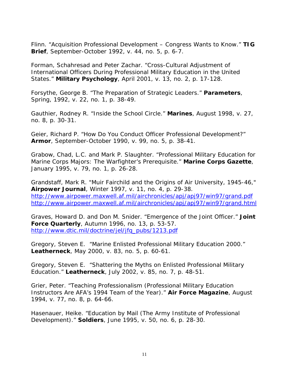Flinn. "Acquisition Professional Development – Congress Wants to Know." **TIG Brief**, September-October 1992, v. 44, no. 5, p. 6-7.

Forman, Schahresad and Peter Zachar. "Cross-Cultural Adjustment of International Officers During Professional Military Education in the United States." **Military Psychology**, April 2001, v. 13, no. 2, p. 17-128.

Forsythe, George B. "The Preparation of Strategic Leaders." **Parameters**, Spring, 1992, v. 22, no. 1, p. 38-49.

Gauthier, Rodney R. "Inside the School Circle." **Marines**, August 1998, v. 27, no. 8, p. 30-31.

Geier, Richard P. "How Do You Conduct Officer Professional Development?" **Armor**, September-October 1990, v. 99, no. 5, p. 38-41.

Grabow, Chad, L.C. and Mark P. Slaughter. "Professional Military Education for Marine Corps Majors: The Warfighter's Prerequisite." **Marine Corps Gazette**, January 1995, v. 79, no. 1, p. 26-28.

Grandstaff, Mark R. "Muir Fairchild and the Origins of Air University, 1945-46," **Airpower Journal**, Winter 1997, v. 11, no. 4, p. 29-38. <http://www.airpower.maxwell.af.mil/airchronicles/apj/apj97/win97/grand.pdf> <http://www.airpower.maxwell.af.mil/airchronicles/apj/apj97/win97/grand.html>

Graves, Howard D. and Don M. Snider. "Emergence of the Joint Officer." **Joint Force Quarterly**, Autumn 1996, no. 13, p. 53-57. [http://www.dtic.mil/doctrine/jel/jfq\\_pubs/1213.pdf](http://www.dtic.mil/doctrine/jel/jfq_pubs/1213.pdf)

Gregory, Steven E. "Marine Enlisted Professional Military Education 2000." **Leatherneck**, May 2000, v. 83, no. 5, p. 60-61.

Gregory, Steven E. "Shattering the Myths on Enlisted Professional Military Education." **Leatherneck**, July 2002, v. 85, no. 7, p. 48-51.

Grier, Peter. "Teaching Professionalism (Professional Military Education Instructors Are AFA's 1994 Team of the Year)." **Air Force Magazine**, August 1994, v. 77, no. 8, p. 64-66.

Hasenauer, Heike. "Education by Mail (The Army Institute of Professional Development)." **Soldiers**, June 1995, v. 50, no. 6, p. 28-30.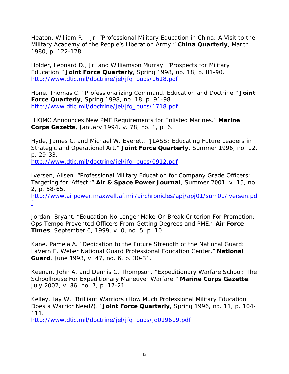Heaton, William R. , Jr. "Professional Military Education in China: A Visit to the Military Academy of the People's Liberation Army." **China Quarterly**, March 1980, p. 122-128.

Holder, Leonard D., Jr. and Williamson Murray. "Prospects for Military Education." **Joint Force Quarterly**, Spring 1998, no. 18, p. 81-90. [http://www.dtic.mil/doctrine/jel/jfq\\_pubs/1618.pdf](http://www.dtic.mil/doctrine/jel/jfq_pubs/1618.pdf) 

Hone, Thomas C. "Professionalizing Command, Education and Doctrine." **Joint Force Quarterly**, Spring 1998, no. 18, p. 91-98. [http://www.dtic.mil/doctrine/jel/jfq\\_pubs/1718.pdf](http://www.dtic.mil/doctrine/jel/jfq_pubs/1718.pdf)

"HQMC Announces New PME Requirements for Enlisted Marines." **Marine Corps Gazette**, January 1994, v. 78, no. 1, p. 6.

Hyde, James C. and Michael W. Everett. "JLASS: Educating Future Leaders in Strategic and Operational Art." **Joint Force Quarterly**, Summer 1996, no. 12, p. 29-33.

[http://www.dtic.mil/doctrine/jel/jfq\\_pubs/0912.pdf](http://www.dtic.mil/doctrine/jel/jfq_pubs/0912.pdf) 

Iversen, Alisen. "Professional Military Education for Company Grade Officers: Targeting for 'Affect.'" **Air & Space Power Journal**, Summer 2001, v. 15, no. 2, p. 58-65.

[http://www.airpower.maxwell.af.mil/airchronicles/apj/apj01/sum01/iversen.pd](http://www.airpower.maxwell.af.mil/airchronicles/apj/apj01/sum01/iversen.pdf) [f](http://www.airpower.maxwell.af.mil/airchronicles/apj/apj01/sum01/iversen.pdf)

Jordan, Bryant. "Education No Longer Make-Or-Break Criterion For Promotion: Ops Tempo Prevented Officers From Getting Degrees and PME." **Air Force Times**, September 6, 1999, v. 0, no. 5, p. 10.

Kane, Pamela A. "Dedication to the Future Strength of the National Guard: LaVern E. Weber National Guard Professional Education Center." **National Guard**, June 1993, v. 47, no. 6, p. 30-31.

Keenan, John A. and Dennis C. Thompson. "Expeditionary Warfare School: The Schoolhouse For Expeditionary Maneuver Warfare." **Marine Corps Gazette**, July 2002, v. 86, no. 7, p. 17-21.

Kelley, Jay W. "Brilliant Warriors (How Much Professional Military Education Does a Warrior Need?)." **Joint Force Quarterly**, Spring 1996, no. 11, p. 104- 111.

[http://www.dtic.mil/doctrine/jel/jfq\\_pubs/jq019619.pdf](http://www.dtic.mil/doctrine/jel/jfq_pubs/jq019619.pdf)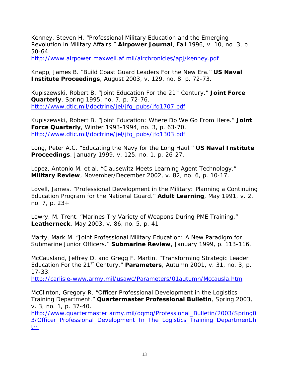Kenney, Steven H. "Professional Military Education and the Emerging Revolution in Military Affairs." **Airpower Journal**, Fall 1996, v. 10, no. 3, p. 50-64.

<http://www.airpower.maxwell.af.mil/airchronicles/apj/kenney.pdf>

Knapp, James B. "Build Coast Guard Leaders For the New Era." **US Naval Institute Proceedings**, August 2003, v. 129, no. 8. p. 72-73.

Kupiszewski, Robert B. "Joint Education For the 21st Century." **Joint Force Quarterly**, Spring 1995, no. 7, p. 72-76. [http://www.dtic.mil/doctrine/jel/jfq\\_pubs/jfq1707.pdf](http://www.dtic.mil/doctrine/jel/jfq_pubs/jfq1707.pdf)

Kupiszewski, Robert B. "Joint Education: Where Do We Go From Here." **Joint Force Quarterly**, Winter 1993-1994, no. 3, p. 63-70. [http://www.dtic.mil/doctrine/jel/jfq\\_pubs/jfq1303.pdf](http://www.dtic.mil/doctrine/jel/jfq_pubs/jfq1303.pdf)

Long, Peter A.C. "Educating the Navy for the Long Haul." **US Naval Institute Proceedings**, January 1999, v. 125, no. 1, p. 26-27.

Lopez, Antonio M, et al. "Clausewitz Meets Learning Agent Technology." **Military Review**, November/December 2002, v. 82, no. 6, p. 10-17.

Lovell, James. "Professional Development in the Military: Planning a Continuing Education Program for the National Guard." **Adult Learning**, May 1991, v. 2, no. 7, p. 23+

Lowry, M. Trent. "Marines Try Variety of Weapons During PME Training." **Leatherneck**, May 2003, v. 86, no. 5, p. 41

Marty, Mark M. "Joint Professional Military Education: A New Paradigm for Submarine Junior Officers." **Submarine Review**, January 1999, p. 113-116.

McCausland, Jeffrey D. and Gregg F. Martin. "Transforming Strategic Leader Education For the 21<sup>st</sup> Century." **Parameters**, Autumn 2001, v. 31, no. 3, p. 17-33.

<http://carlisle-www.army.mil/usawc/Parameters/01autumn/Mccausla.htm>

McClinton, Gregory R. "Officer Professional Development in the Logistics Training Department." **Quartermaster Professional Bulletin**, Spring 2003, v. 3, no. 1, p. 37-40.

[http://www.quartermaster.army.mil/oqmg/Professional\\_Bulletin/2003/Spring0](http://www.quartermaster.army.mil/oqmg/Professional_Bulletin/2003/Spring03/Officer_Professional_Development_In_The_Logistics_Training_Department.htm) [3/Officer\\_Professional\\_Development\\_In\\_The\\_Logistics\\_Training\\_Department.h](http://www.quartermaster.army.mil/oqmg/Professional_Bulletin/2003/Spring03/Officer_Professional_Development_In_The_Logistics_Training_Department.htm) [tm](http://www.quartermaster.army.mil/oqmg/Professional_Bulletin/2003/Spring03/Officer_Professional_Development_In_The_Logistics_Training_Department.htm)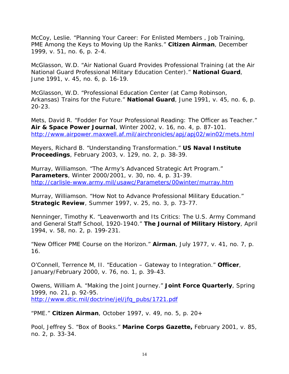McCoy, Leslie. "Planning Your Career: For Enlisted Members , Job Training, PME Among the Keys to Moving Up the Ranks." **Citizen Airman**, December 1999, v. 51, no. 6, p. 2-4.

McGlasson, W.D. "Air National Guard Provides Professional Training (at the Air National Guard Professional Military Education Center)." **National Guard**, June 1991, v. 45, no. 6, p. 16-19.

McGlasson, W.D. "Professional Education Center (at Camp Robinson, Arkansas) Trains for the Future." **National Guard**, June 1991, v. 45, no. 6, p. 20-23.

Mets, David R. "Fodder For Your Professional Reading: The Officer as Teacher." **Air & Space Power Journal**, Winter 2002, v. 16, no. 4, p. 87-101. <http://www.airpower.maxwell.af.mil/airchronicles/apj/apj02/win02/mets.html>

Meyers, Richard B. "Understanding Transformation." **US Naval Institute Proceedings**, February 2003, v. 129, no. 2, p. 38-39.

Murray, Williamson. "The Army's Advanced Strategic Art Program." **Parameters**, Winter 2000/2001, v. 30, no. 4, p. 31-39. <http://carlisle-www.army.mil/usawc/Parameters/00winter/murray.htm>

Murray, Williamson. "How Not to Advance Professional Military Education." **Strategic Review**, Summer 1997, v. 25, no. 3, p. 73-77.

Nenninger, Timothy K. "Leavenworth and Its Critics: The U.S. Army Command and General Staff School, 1920-1940." **The Journal of Military History**, April 1994, v. 58, no. 2, p. 199-231.

"New Officer PME Course on the Horizon." **Airman**, July 1977, v. 41, no. 7, p. 16.

O'Connell, Terrence M, II. "Education – Gateway to Integration." **Officer**, January/February 2000, v. 76, no. 1, p. 39-43.

Owens, William A. "Making the Joint Journey." **Joint Force Quarterly**, Spring 1999, no. 21, p. 92-95. [http://www.dtic.mil/doctrine/jel/jfq\\_pubs/1721.pdf](http://www.dtic.mil/doctrine/jel/jfq_pubs/1721.pdf) 

"PME." **Citizen Airman**, October 1997, v. 49, no. 5, p. 20+

Pool, Jeffrey S. "Box of Books." **Marine Corps Gazette,** February 2001, v. 85, no. 2, p. 33-34.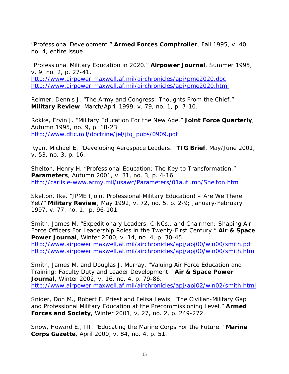"Professional Development." **Armed Forces Comptroller**, Fall 1995, v. 40, no. 4, entire issue.

"Professional Military Education in 2020." **Airpower Journal**, Summer 1995, v. 9, no. 2, p. 27-41. <http://www.airpower.maxwell.af.mil/airchronicles/apj/pme2020.doc> <http://www.airpower.maxwell.af.mil/airchronicles/apj/pme2020.html>

Reimer, Dennis J. "The Army and Congress: Thoughts From the Chief." **Military Review**, March/April 1999, v. 79, no. 1, p. 7-10.

Rokke, Ervin J. "Military Education For the New Age." **Joint Force Quarterly**, Autumn 1995, no. 9, p. 18-23. [http://www.dtic.mil/doctrine/jel/jfq\\_pubs/0909.pdf](http://www.dtic.mil/doctrine/jel/jfq_pubs/0909.pdf) 

Ryan, Michael E. "Developing Aerospace Leaders." **TIG Brief**, May/June 2001, v. 53, no. 3, p. 16.

Shelton, Henry H. "Professional Education: The Key to Transformation." **Parameters**, Autumn 2001, v. 31, no. 3, p. 4-16. <http://carlisle-www.army.mil/usawc/Parameters/01autumn/Shelton.htm>

Skelton, Ike. "JPME (Joint Professional Military Education) – Are We There Yet?" **Military Review**, May 1992, v. 72, no. 5, p. 2-9; January-February 1997, v. 77, no. 1, p. 96-101.

Smith, James M. "Expeditionary Leaders, CINCs,, and Chairmen: Shaping Air Force Officers For Leadership Roles in the Twenty-First Century." **Air & Space Power Journal**, Winter 2000, v. 14, no. 4, p. 30-45. <http://www.airpower.maxwell.af.mil/airchronicles/apj/apj00/win00/smith.pdf> <http://www.airpower.maxwell.af.mil/airchronicles/apj/apj00/win00/smith.htm>

Smith, James M. and Douglas J. Murray. "Valuing Air Force Education and Training: Faculty Duty and Leader Development." **Air & Space Power Journal**, Winter 2002, v. 16, no. 4, p. 79-86. <http://www.airpower.maxwell.af.mil/airchronicles/apj/apj02/win02/smith.html>

Snider, Don M., Robert F. Priest and Felisa Lewis. "The Civilian-Military Gap and Professional Military Education at the Precommissioning Level." **Armed Forces and Society**, Winter 2001, v. 27, no. 2, p. 249-272.

Snow, Howard E., III. "Educating the Marine Corps For the Future." **Marine Corps Gazette**, April 2000, v. 84, no. 4, p. 51.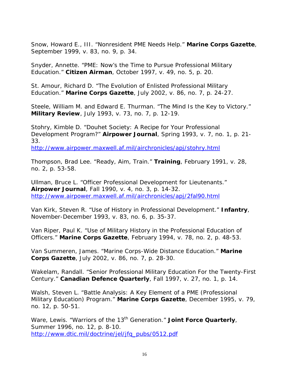Snow, Howard E., III. "Nonresident PME Needs Help." **Marine Corps Gazette**, September 1999, v. 83, no. 9, p. 34.

Snyder, Annette. "PME: Now's the Time to Pursue Professional Military Education." **Citizen Airman**, October 1997, v. 49, no. 5, p. 20.

St. Amour, Richard D. "The Evolution of Enlisted Professional Military Education." **Marine Corps Gazette**, July 2002, v. 86, no. 7, p. 24-27.

Steele, William M. and Edward E. Thurman. "The Mind Is the Key to Victory." **Military Review**, July 1993, v. 73, no. 7, p. 12-19.

Stohry, Kimble D. "Douhet Society: A Recipe for Your Professional Development Program?" **Airpower Journal**, Spring 1993, v. 7, no. 1, p. 21- 33.

<http://www.airpower.maxwell.af.mil/airchronicles/apj/stohry.html>

Thompson, Brad Lee. "Ready, Aim, Train." **Training**, February 1991, v. 28, no. 2, p. 53-58.

Ullman, Bruce L. "Officer Professional Development for Lieutenants." **Airpower Journal**, Fall 1990, v. 4, no. 3, p. 14-32. <http://www.airpower.maxwell.af.mil/airchronicles/apj/2fal90.html>

Van Kirk, Steven R. "Use of History in Professional Development." **Infantry**, November-December 1993, v. 83, no. 6, p. 35-37.

Van Riper, Paul K. "Use of Military History in the Professional Education of Officers." **Marine Corps Gazette**, February 1994, v. 78, no. 2, p. 48-53.

Van Summeren, James. "Marine Corps-Wide Distance Education." **Marine Corps Gazette**, July 2002, v. 86, no. 7, p. 28-30.

Wakelam, Randall. "Senior Professional Military Education For the Twenty-First Century." **Canadian Defence Quarterly**, Fall 1997, v. 27, no. 1, p. 14.

Walsh, Steven L. "Battle Analysis: A Key Element of a PME (Professional Military Education) Program." **Marine Corps Gazette**, December 1995, v. 79, no. 12, p. 50-51.

Ware, Lewis. "Warriors of the 13<sup>th</sup> Generation." **Joint Force Quarterly**, Summer 1996, no. 12, p. 8-10. [http://www.dtic.mil/doctrine/jel/jfq\\_pubs/0512.pdf](http://www.dtic.mil/doctrine/jel/jfq_pubs/0512.pdf)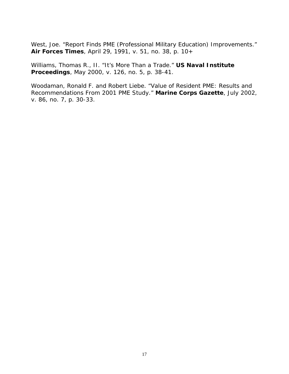West, Joe. "Report Finds PME (Professional Military Education) Improvements." **Air Forces Times**, April 29, 1991, v. 51, no. 38, p. 10+

Williams, Thomas R., II. "It's More Than a Trade." **US Naval Institute Proceedings**, May 2000, v. 126, no. 5, p. 38-41.

Woodaman, Ronald F. and Robert Liebe. "Value of Resident PME: Results and Recommendations From 2001 PME Study." **Marine Corps Gazette**, July 2002, v. 86, no. 7, p. 30-33.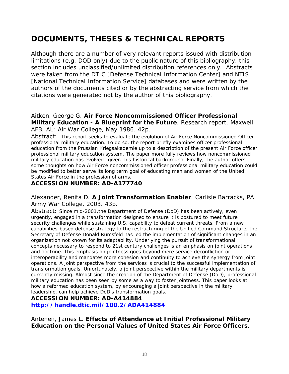## **DOCUMENTS, THESES & TECHNICAL REPORTS**

*Although there are a number of very relevant reports issued with distribution limitations (e.g. DOD only) due to the public nature of this bibliography, this section includes unclassified/unlimited distribution references only. Abstracts were taken from the DTIC [Defense Technical Information Center] and NTIS [National Technical Information Service] databases and were written by the authors of the documents cited or by the abstracting service from which the citations were generated not by the author of this bibliography.* 

#### Aitken, George G. **Air Force Noncommissioned Officer Professional Military Education - A Blueprint for the Future**. Research report. Maxwell AFB, AL: Air War College, May 1986. 42p.

Abstract: This report seeks to evaluate the evolution of Air Force Noncommissioned Officer professional military education. To do so, the report briefly examines officer professional education from the Prussian Kriegsakademie up to a description of the present Air Force officer professional military education system. The paper more fully reviews how noncommissioned military education has evolved--given this historical background. Finally, the author offers some thoughts on how Air Force noncommissioned officer professional military education could be modified to better serve its long term goal of educating men and women of the United States Air Force in the profession of arms.

#### **ACCESSION NUMBER: AD-A177740**

Alexander, Renita D. **A Joint Transformation Enabler**. Carlisle Barracks, PA: Army War College, 2003. 43p.

Abstract: Since mid-2001,the Department of Defense (DoD) has been actively, even urgently, engaged in a transformation designed to ensure it is postured to meet future security challenges while sustaining U.S. capability to defeat current threats. From a new capabilities-based defense strategy to the restructuring of the Unified Command Structure, the Secretary of Defense Donald Rumsfeld has led the implementation of significant changes in an organization not known for its adaptability. Underlying the pursuit of transformational concepts necessary to respond to 21st century challenges is an emphasis on joint operations and doctrine. This emphasis on jointness goes beyond mere service deconfliction or interoperability and mandates more cohesion and continuity to achieve the synergy from joint operations. A joint perspective from the services is crucial to the successful implementation of transformation goals. Unfortunately, a joint perspective within the military departments is currently missing. Almost since the creation of the Department of Defense (DoD), professional military education has been seen by some as a way to foster jointness. This paper looks at how a reformed education system, by encouraging a joint perspective in the military leadership, can help achieve DoD's transformation goals.

#### **ACCESSION NUMBER: AD-A414884**

**<http://handle.dtic.mil/100.2/ADA414884>**

Antenen, James L. **Effects of Attendance at Initial Professional Military Education on the Personal Values of United States Air Force Officers**.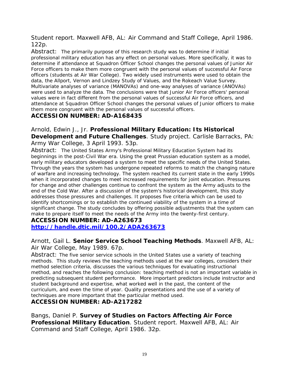Student report. Maxwell AFB, AL: Air Command and Staff College, April 1986. 122p.

Abstract: The primarily purpose of this research study was to determine if initial professional military education has any effect on personal values. More specifically, it was to determine if attendance at Squadron Officer School changes the personal values of Junior Air Force officers to make them more congruent with the personal values of successful Air Force officers (students at Air War College). Two widely used instruments were used to obtain the data, the Allport, Vernon and Lindzey Study of Values, and the Rokeach Value Survey. Multivariate analyses of variance (MANOVAs) and one-way analyses of variance (ANOVAs) were used to analyze the data. The conclusions were that Junior Air Force officers' personal values were in fact different from the personal values of successful Air Force officers, and attendance at Squadron Officer School changes the personal values of Junior officers to make them more congruent with the personal values of successful officers.

#### **ACCESSION NUMBER: AD-A168435**

Arnold, Edwin J., Jr. **Professional Military Education: Its Historical Development and Future Challenges**. Study project. Carlisle Barracks, PA: Army War College, 3 April 1993. 53p.

Abstract: The United States Army's Professional Military Education System had its beginnings in the post-Civil War era. Using the great Prussian education system as a model, early military educators developed a system to meet the specific needs of the United States. Through the years the system has undergone repeated reforms to match the changing nature of warfare and increasing technology. The system reached its current state in the early 1990s when it incorporated changes to meet increased requirements for joint education. Pressures for change and other challenges continue to confront the system as the Army adjusts to the end of the Cold War. After a discussion of the system's historical development, this study addresses those pressures and challenges. It proposes five criteria which can be used to identify shortcomings or to establish the continued viability of the system in a time of significant change. The study concludes by offering possible adjustments that the system can make to prepare itself to meet the needs of the Army into the twenty-first century.

#### **ACCESSION NUMBER: AD-A263673**

**<http://handle.dtic.mil/100.2/ADA263673>**

#### Arnott, Gail L. **Senior Service School Teaching Methods**. Maxwell AFB, AL: Air War College, May 1989. 67p.

Abstract: The five senior service schools in the United States use a variety of teaching methods. This study reviews the teaching methods used at the war colleges, considers their method selection criteria, discusses the various techniques for evaluating instructional method, and reaches the following conclusion: teaching method is not an important variable in predicting subsequent student performance. More important predictors include instructor and student background and expertise, what worked well in the past, the content of the curriculum, and even the time of year. Quality presentations and the use of a variety of techniques are more important that the particular method used.

#### **ACCESSION NUMBER: AD-A217282**

Bangs, Daniel P. **Survey of Studies on Factors Affecting Air Force Professional Military Education**. Student report. Maxwell AFB, AL: Air Command and Staff College, April 1986. 32p.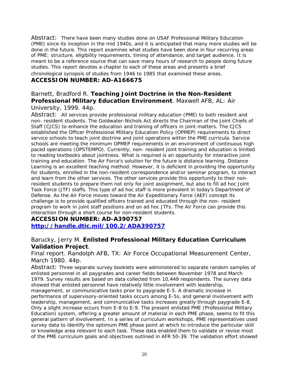Abstract: There have been many studies done on USAF Professional Military Education (PME) since its inception in the mid 1940s, and it is anticipated that many more studies will be done in the future. This report examines what studies have been done in four recurring areas of PME: structure, eligibility requirements, timing of attendance, and target audience. It is meant to be a reference source that can save many hours of research to people doing future studies. This report devotes a chapter to each of these areas and presents a brief chronological synopsis of studies from 1946 to 1985 that examined these areas.

### **ACCESSION NUMBER: AD-A166675**

#### Barnett, Bradford R. **Teaching Joint Doctrine in the Non-Resident Professional Military Education Environment**. Maxwell AFB, AL: Air University, 1999. 44p.

Abstract: All services provide professional military education (PME) to both resident and non- resident students. The Goldwater-Nichols Act directs the Chairman of the Joint Chiefs of Staff (CJCS) to enhance the education and training of officers in joint matters. The CJCS established the Officer Professional Military Education Policy (OPMEP) requirements to direct service schools to teach joint doctrine and joint operations within the PME curricula. Service schools are meeting the minimum OPMEP requirements in an environment of continuous high paced operations (OPSTEMPO). Currently, non- resident joint training and education is limited to reading textbooks about jointness. What is required is an opportunity for interactive joint training and education. The Air Force's solution for the future is distance learning. Distance Learning is an excellent teaching method. However, it is deficient in providing the opportunity for students, enrolled in the non-resident correspondence and/or seminar program, to interact and learn from the other services. The other services provide this opportunity to their nonresident students to prepare them not only for joint assignment, but also to fill ad hoc Joint Task Force (JTF) staffs. This type of ad hoc staff is more prevalent in today's Department of Defense. As the Air Force moves toward the Air Expeditionary Force (AEF) concept its challenge is to provide qualified officers trained and educated through the non- resident program to work in joint staff positions and on ad hoc JTFs. The Air Force can provide this interaction through a short course for non-resident students.

#### **ACCESSION NUMBER: AD-A390757**

**<http://handle.dtic.mil/100.2/ADA390757>**

#### Barucky, Jerry M. **Enlisted Professional Military Education Curriculum Validation Project**.

Final report. Randolph AFB, TX: Air Force Occupational Measurement Center, March 1980. 44p.

Abstract: Three separate survey booklets were administered to separate random samples of enlisted personnel in all paygrades and career fields between November 1978 and March 1979. Survey results are based on data collected from 10,449 respondents. The survey data showed that enlisted personnel have relatively little involvement with leadership, management, or communicative tasks prior to paygrade E-5. A dramatic increase in performance of supervisory-oriented tasks occurs among E-5s, and general involvement with leadership, management, and communicative tasks increases greatly through paygrade E-8. Only a slight increase occurs from E-8 to E-9. The present enlisted PME (Professional Military Education) system, offering a greater amount of material in each PME phase, seems to fit this general pattern of involvement. In a series of curriculum workshops, PME representatives used survey data to identify the optimum PME phase point at which to introduce the particular skill or knowledge area relevant to each task. These data enabled them to validate or revise most of the PME curriculum goals and objectives outlined in AFR 50-39. The validation effort showed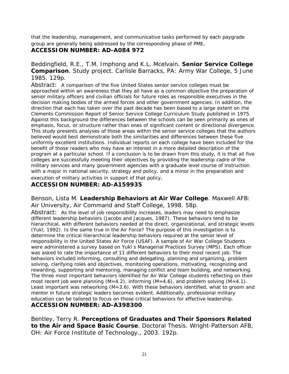that the leadership, management, and communicative tasks performed by each paygrade group are generally being addressed by the corresponding phase of PME.

#### **ACCESSION NUMBER: AD-A084 972**

Beddingfield, R.E., T.M. Imphong and K.L. Mcelvain. **Senior Service College Comparison**. Study project. Carlisle Barracks, PA: Army War College, 5 June 1985. 129p.

Abstract: A comparison of the five United States senior service colleges must be approached within an awareness that they all have as a common objective the preparation of senior military officers and civilian officials for future roles as responsible executives in the decision making bodies of the armed forces and other government agencies. In addition, the direction that each has taken over the past decade has been based to a large extent on the Clements Commission Report of Senior Service College Curriculum Study published in 1975. Against this background the differences between the schools can be seen primarily as ones of emphasis, focus, or structure rather than ones of significant content or directional divergence. This study presents analyses of those areas within the senior service colleges that the authors believed would best demonstrate both the similarities and differences between these five uniformly excellent institutions. Individual reports on each college have been included for the benefit of those readers who may have an interest in a more detailed description of the program at a particular school. If a conclusion is to be drawn from this study, it is that all five colleges are successfully meeting their objectives by providing the leadership cadre of the military services and many government agencies with a graduate level course of instruction with a major in national security, strategy and policy, and a minor in the preparation and execution of military activities in support of that policy.

#### **ACCESSION NUMBER: AD-A159935**

Benson, Lista M. **Leadership Behaviors at Air War College**. Maxwell AFB: Air University, Air Command and Staff College, 1998. 58p.

Abstract: As the level of job responsibility increases, leaders may need to emphasize different leadership behaviors (Jacobs and Jacques, 1987). These behaviors tend to be hierarchical, with different behaviors needed at the direct, organizational, and strategic levels (Yukl, 1992). Is the same true in the Air Force? The purpose of this investigation is to determine the critical hierarchical leadership behaviors required at the senior level of responsibility in the United States Air Force (USAF). A sample of Air War College Students were administered a survey based on Yukl s Managerial Practices Survey (MPS). Each officer was asked to rate the importance of 11 different behaviors to their most recent job. The behaviors included informing, consulting and delegating, planning and organizing, problem solving, clarifying roles and objectives, monitoring operations, motivating, recognizing and rewarding, supporting and mentoring, managing conflict and team building, and networking. The three most important behaviors identified for Air War College students reflecting on their most recent job were planning (M=4.2), informing (M=4.6), and problem solving (M=4.1). Least important was networking (M=3.6). With these behaviors identified, what to groom and mentor in future strategic leaders becomes evident. Additionally, professional military education can be tailored to focus on those critical behaviors for effective leadership. **ACCESSION NUMBER: AD-A398300** 

Bentley, Terry R. **Perceptions of Graduates and Their Sponsors Related to the Air and Space Basic Course**. Doctoral Thesis. Wright-Patterson AFB, OH: Air Force Institute of Technology., 2003. 192p.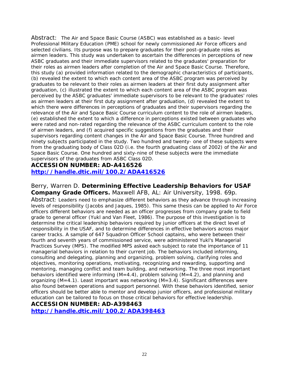Abstract: The Air and Space Basic Course (ASBC) was established as a basic- level Professional Military Education (PME) school for newly commissioned Air Force officers and selected civilians. Its purpose was to prepare graduates for their post-graduate roles as airmen leaders. This study was undertaken to ascertain the differences in perceptions of new ASBC graduates and their immediate supervisors related to the graduates' preparation for their roles as airmen leaders after completion of the Air and Space Basic Course. Therefore, this study (a) provided information related to the demographic characteristics of participants, (b) revealed the extent to which each content area of the ASBC program was perceived by graduates to be relevant to their roles as airmen leaders at their first duty assignment after graduation, (c) illustrated the extent to which each content area of the ASBC program was perceived by the ASBC graduates' immediate supervisors to be relevant to the graduates' roles as airmen leaders at their first duty assignment after graduation, (d) revealed the extent to which there were differences in perceptions of graduates and their supervisors regarding the relevance of the Air and Space Basic Course curriculum content to the role of airmen leaders, (e) established the extent to which a difference in perceptions existed between graduates who were rated and non-rated regarding the relevance of the ASBC curriculum content to the role of airmen leaders, and (f) acquired specific suggestions from the graduates and their supervisors regarding content changes in the Air and Space Basic Course. Three hundred and ninety subjects participated in the study. Two hundred and twenty- one of these subjects were from the graduating body of Class 02D (i.e. the fourth graduating class of 2002) of the Air and Space Basic Course. One hundred and sixty-nine of these subjects were the immediate supervisors of the graduates from ASBC Class 02D.

#### **ACCESSION NUMBER: AD-A416526 <http://handle.dtic.mil/100.2/ADA416526>**

Berry, Warren D. **Determining Effective Leadership Behaviors for USAF Company Grade Officers.** Maxwell AFB, AL: Air University, 1998. 69p. Abstract: Leaders need to emphasize different behaviors as they advance through increasing levels of responsibility (Jacobs and Jaques, 1985). This same thesis can be applied to Air Force officers different behaviors are needed as an officer progresses from company grade to field grade to general officer (Yukl and Van Fleet, 1986). The purpose of this investigation is to determine the critical leadership behaviors required by junior officers at the direct level of responsibility in the USAF, and to determine differences in effective behaviors across major career tracks. A sample of 647 Squadron Officer School captains, who were between their fourth and seventh years of commissioned service, were administered Yukl's Managerial Practices Survey (MPS). The modified MPS asked each subject to rate the importance of 11 managerial behaviors in relation to their current job. The behaviors included informing, consulting and delegating, planning and organizing, problem solving, clarifying roles and objectives, monitoring operations, motivating, recognizing and rewarding, supporting and mentoring, managing conflict and team building, and networking. The three most important behaviors identified were informing (M=4.4), problem solving (M=4.2), and planning and organizing (M=4.1). Least important was networking (M=3.4). Significant differences were also found between operations and support personnel. With these behaviors identified, senior officers should be better able to mentor and develop junior officers, and professional military education can be tailored to focus on those critical behaviors for effective leadership.

**ACCESSION NUMBER: AD-A398463** 

**<http://handle.dtic.mil/100.2/ADA398463>**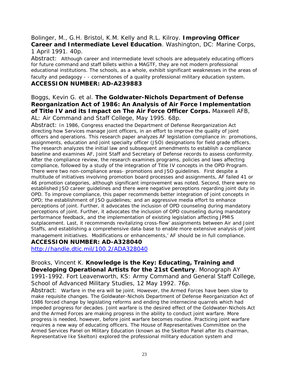#### Bolinger, M., G.H. Bristol, K.M. Kelly and R.L. Kilroy. **Improving Officer Career and Intermediate Level Education**. Washington, DC: Marine Corps, 1 April 1991. 40p.

Abstract: Although career and intermediate level schools are adequately educating officers for future command and staff billets within a MAGTF, they are not modern professional educational institutions. The schools, as a whole, exhibit significant weaknesses in the areas of faculty and pedagogy - - cornerstones of a quality professional military education system.

#### **ACCESSION NUMBER: AD-A239883**

#### Boggs, Kevin G. et al. **The Goldwater-Nichols Department of Defense Reorganization Act of 1986: An Analysis of Air Force Implementation of Title IV and its Impact on The Air Force Officer Corps.** Maxwell AFB, AL: Air Command and Staff College, May 1995. 68p.

Abstract: In 1986, Congress enacted the Department of Defense Reorganization Act directing how Services manage joint officers, in an effort to improve the quality of joint officers and operations. This research paper analyzes AF legislation compliance in: promotions, assignments, education and joint specialty officer (JSO) designations for field grade officers. The research analyzes the initial law and subsequent amendments to establish a compliance baseline and examines AF, Joint Staff and Secretary of Defense records to assess conformity. After the compliance review, the research examines programs, policies and laws affecting compliance, followed by a study of the integration of Title IV concepts in the OPD Program. There were two non-compliance areas- promotions and JSO guidelines. First despite a multitude of initiatives involving promotion board processes and assignments, AF failed 41 or 46 promotion categories, although significant improvement was noted. Second, there were no established JSO career guidelines and there were negative perceptions regarding joint duty in OPD. To improve compliance, this paper recommends better integration of joint concepts in OPD; the establishment of JSO guidelines; and an aggressive media effort to enhance perceptions of joint. Further, it advocates the inclusion of OPD counseling during mandatory perceptions of joint. Further, it advocates the inclusion of OPD counseling during mandatory performance feedback, and the implementation of existing legislation affecting JPMIS outplacement. Last, it recommends revitalizing cross-flow' assignments between Air and Joint Staffs, and establishing a comprehensive data-base to enable more extensive analysis of joint management initiatives. Modifications or enhancements,' AF should be in full compliance.

**ACCESSION NUMBER: AD-A328040** 

<http://handle.dtic.mil/100.2/ADA328040>

Brooks, Vincent K. **Knowledge is the Key: Educating, Training and Developing Operational Artists for the 21st Century**. Monograph AY 1991-1992. Fort Leavenworth, KS: Army Command and General Staff College, School of Advanced Military Studies, 12 May 1992. 76p.

Abstract: Warfare in the era will be joint. However, the Armed Forces have been slow to make requisite changes. The Goldwater-Nichols Department of Defense Reorganization Act of 1986 forced change by legislating reforms and ending the internecine quarrels which had impeded progress for decades. Joint warfare is the desired effect of the Goldwater-Nichols Act and the Armed Forces are making progress in the ability to conduct joint warfare. More progress is needed, however, before joint warfare becomes routine. Practicing joint warfare requires a new way of educating officers. The House of Representatives Committee on the Armed Services Panel on Military Education (known as the Skelton Panel after its chairman, Representative Ike Skelton) explored the professional military education system and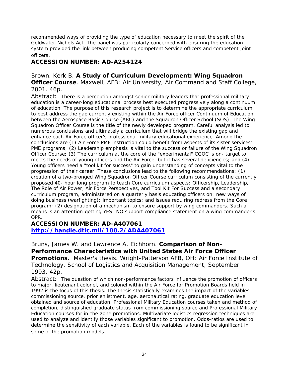recommended ways of providing the type of education necessary to meet the spirit of the Goldwater-Nichols Act. The panel was particularly concerned with ensuring the education system provided the link between producing competent Service officers and competent joint officers.

#### **ACCESSION NUMBER: AD-A254124**

Brown, Kerk B. **A Study of Curriculum Development: Wing Squadron Officer Course**. Maxwell, AFB: Air University, Air Command and Staff College, 2001. 46p.

Abstract: There is a perception amongst senior military leaders that professional military education is a career-long educational process best executed progressively along a continuum of education. The purpose of this research project is to determine the appropriate curriculum to best address the gap currently existing within the Air Force officer Continuum of Education between the Aerospace Basic Course (ABC) and the Squadron Officer School (SOS). The Wing Squadron Officer Course is the title of the newly developed program. Careful analysis led to numerous conclusions and ultimately a curriculum that will bridge the existing gap and enhance each Air Force officer's professional military educational experience. Among the conclusions are (1) Air Force PME instruction could benefit from aspects of its sister services' PME programs; (2) Leadership emphasis is vital to the success or failure of the Wing Squadron Officer Course; (3) The curriculum at the core of the "experimental" CGOC is on- target to meets the needs of young officers and the Air Force, but it has several deficiencies; and (4) Young officers need a "tool kit for success" to gain understanding of concepts vital to the progression of their career. These conclusions lead to the following recommendations: (1) creation of a two-pronged Wing Squadron Officer Course curriculum consisting of the currently proposed 40- hour long program to teach Core curriculum aspects: Officership, Leadership, The Role of Air Power, Air Force Perspectives, and Tool Kit For Success and a secondary curriculum program, administered on a quarterly basis educating officers on: new ways of doing business (warfighting); important topics; and issues requiring redress from the Core program; (2) designation of a mechanism to ensure support by wing commanders. Such a means is an attention-getting YES- NO support compliance statement on a wing commander's OPR.

#### **ACCESSION NUMBER: AD-A407061 <http://handle.dtic.mil/100.2/ADA407061>**

Bruns, James W. and Lawrence A. Eichhorn. **Comparison of Non-Performance Characteristics with United States Air Force Officer Promotions**. Master's thesis. Wright-Patterson AFB, OH: Air Force Institute of Technology, School of Logistics and Acquisition Management, September 1993. 42p.

Abstract: The question of which non-performance factors influence the promotion of officers to major, lieutenant colonel, and colonel within the Air Force for Promotion Boards held in 1992 is the focus of this thesis. The thesis statistically examines the impact of the variables commissioning source, prior enlistment, age, aeronautical rating, graduate education level obtained and source of education, Professional Military Education courses taken and method of completion, distinguished graduate status from commissioning source and Professional Military Education courses for in-the-zone promotions. Multivariate logistics regression techniques are used to analyze and identify those variables significant to promotion. Odds-ratios are used to determine the sensitivity of each variable. Each of the variables is found to be significant in some of the promotion models.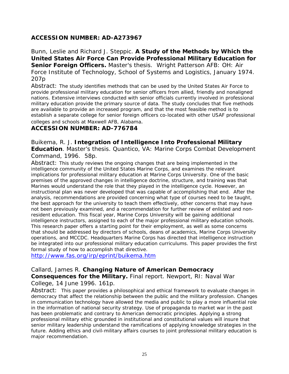### **ACCESSION NUMBER: AD-A273967**

Bunn, Leslie and Richard J. Steppic. **A Study of the Methods by Which the United States Air Force Can Provide Professional Military Education for Senior Foreign Officers.** Master's thesis. Wright Patterson AFB: OH: Air Force Institute of Technology, School of Systems and Logistics, January 1974. 207p

Abstract: The study identifies methods that can be used by the United States Air Force to provide professional military education for senior officers from allied, friendly and nonaligned nations. Extensive interviews conducted with senior officials currently involved in professional military education provide the primary source of data. The study concludes that five methods are available to provide an increased program, and that the most feasible method is to establish a separate college for senior foreign officers co-located with other USAF professional colleges and schools at Maxwell AFB, Alabama.

#### **ACCESSION NUMBER: AD-776784**

Buikema, R. J. **Integration of Intelligence Into Professional Military Education**. Master's thesis. Quantico, VA: Marine Corps Combat Development Command, 1996. 58p.

Abstract: This study reviews the ongoing changes that are being implemented in the intelligence community of the United States Marine Corps, and examines the relevant implications for professional military education at Marine Corps University. One of the basic premises of the approved changes in intelligence doctrine, structure, and training was that Marines would understand the role that they played in the intelligence cycle. However, an instructional plan was never developed that was capable of accomplishing that end. After the analysis, recommendations are provided concerning what type of courses need to be taught, the best approach for the university to teach them effectively, other concerns that may have not been previously examined, and a recommendation for further review of enlisted and nonresident education. This fiscal year, Marine Corps University will be gaining additional intelligence instructors, assigned to each of the major professional military education schools. This research paper offers a starting point for their employment, as well as some concerns that should be addressed by directors of schools, deans of academics, Marine Corps University operations, and MCCDC. Headquarters Marine Corps has directed that intelligence instruction be integrated into our professional military education curriculums. This paper provides the first formal study of how to accomplish that directive.

<http://www.fas.org/irp/eprint/buikema.htm>

### Callard, James R. **Changing Nature of American Democracy Consequences for the Military.** Final report. Newport, RI: Naval War

College, 14 June 1996. 161p.

Abstract: This paper provides a philosophical and ethical framework to evaluate changes in democracy that affect the relationship between the public and the military profession. Changes in communication technology have allowed the media and public to play a more influential role in the information of national security strategy. Use of propaganda to market war in the past has been problematic and contrary to American democratic principles. Applying a strong professional military ethic grounded in institutional and constitutional values will insure that senior military leadership understand the ramifications of applying knowledge strategies in the future. Adding ethics and civil-military affairs courses to joint professional military education is major recommendation.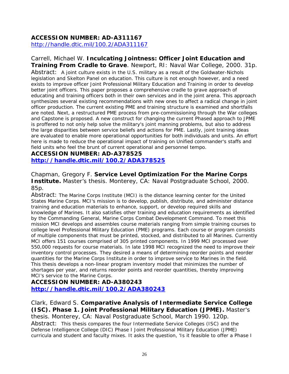### **ACCESSION NUMBER: AD-A311167**

<http://handle.dtic.mil/100.2/ADA311167>

Carrell, Michael W. **Inculcating Jointness: Officer Joint Education and Training From Cradle to Grave**. Newport, RI: Naval War College, 2000. 31p. Abstract: A joint culture exists in the U.S. military as a result of the Goldwater-Nichols legislation and Skelton Panel on education. This culture is not enough however, and a need exists to improve officer Joint Professional Military Education and Training in order to develop better joint officers. This paper proposes a comprehensive cradle to grave approach of educating and training officers both in their own services and in the joint arena. This approach synthesizes several existing recommendations with new ones to affect a radical change in joint officer production. The current existing PME and training structure is examined and shortfalls are noted. Next, a restructured PME process from pre-commissioning through the War colleges and Capstone is proposed. A new construct for changing the current Phased approach to JPME is proffered to not only help solve the military's joint manning problems, but also to address the large disparities between service beliefs and actions for PME. Lastly, joint training ideas are evaluated to enable more operational opportunities for both individuals and units. An effort here is made to reduce the operational impact of training on Unified commander's staffs and field units who feel the brunt of current operational and personnel tempo.

#### **ACCESSION NUMBER: AD-A378525 <http://handle.dtic.mil/100.2/ADA378525>**

Chapman, Gregory F. **Service Level Optimization For the Marine Corps Institute.** Master's thesis. Monterey, CA: Naval Postgraduate School, 2000. 85p.

Abstract: The Marine Corps Institute (MCI) is the distance learning center for the United States Marine Corps. MCI's mission is to develop, publish, distribute, and administer distance training and education materials to enhance, support, or develop required skills and knowledge of Marines. It also satisfies other training and education requirements as identified by the Commanding General, Marine Corps Combat Development Command. To meet this mission MCI develops and assembles course materials ranging from simple training courses to college level Professional Military Education (PME) programs. Each course or program consists of multiple components that must be printed, stocked, and distributed to all Marines. Currently MCI offers 151 courses comprised of 305 printed components. In 1999 MCI processed over 550,000 requests for course materials. In late 1998 MCI recognized the need to improve their inventory control processes. They desired a means of determining reorder points and reorder quantities for the Marine Corps Institute in order to improve service to Marines in the field. This thesis develops a non-linear program inventory model that minimizes the number of shortages per year, and returns reorder points and reorder quantities, thereby improving MCI's service to the Marine Corps.

#### **ACCESSION NUMBER: AD-A380243**

**<http://handle.dtic.mil/100.2/ADA380243>**

Clark, Edward S. **Comparative Analysis of Intermediate Service College (ISC). Phase 1. Joint Professional Military Education (JPME).** Master's thesis. Monterey, CA: Naval Postgraduate School, March 1990. 120p. Abstract: This thesis compares the four Intermediate Service Colleges (ISC) and the Defense Intelligence College (DIC) Phase I Joint Professional Military Education (JPME) curricula and student and faculty mixes. It asks the question, 'Is it feasible to offer a Phase I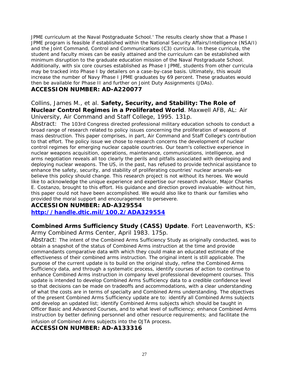JPME curriculum at the Naval Postgraduate School.' The results clearly show that a Phase I JPME program is feasible if established within the National Security Affairs/Intelligence (NSA/I) and the Joint Command, Control and Communications (C3) curricula. In these curricula, the student and faculty mixes can be easily attained and the curriculum can be established with minimum disruption to the graduate education mission of the Naval Postgraduate School. Additionally, with six core courses established as Phase I JPME, students from other curricula may be tracked into Phase I by detailers on a case-by-case basis. Ultimately, this would increase the number of Navy Phase I JPME graduates by 69 percent. These graduates would then be available for Phase II and further on Joint Duty Assignments (JDAs).

#### **ACCESSION NUMBER: AD-A220077**

## Collins, James M., et al. **Safety, Security, and Stability: The Role of Nuclear Control Regimes in a Proliferated World**. Maxwell AFB, AL: Air

University, Air Command and Staff College, 1995. 131p.

Abstract: The 103rd Congress directed professional military education schools to conduct a broad range of research related to policy issues concerning the proliferation of weapons of mass destruction. This paper comprises, in part, Air Command and Staff College's contribution to that effort. The policy issue we chose to research concerns the development of nuclear control regimes for emerging nuclear capable countries. Our team's collective experience in nuclear weapons acquisition, operations, maintenance, communications, intelligence, and arms negotiation reveals all too clearly the perils and pitfalls associated with developing and deploying nuclear weapons. The US, in the past, has refused to provide technical assistance to enhance the safety, security, and stability of proliferating countries' nuclear arsenals-we believe this policy should change. This research project is not without its heroes. We would like to acknowledge the unique experience and expertise our research advisor, Major Charles E. Costanzo, brought to this effort. His guidance and direction proved invaluable- without him, this paper could not have been accomplished. We would also like to thank our families who provided the moral support and encouragement to persevere.

## **ACCESSION NUMBER: AD-A329554**

#### **<http://handle.dtic.mil/100.2/ADA329554>**

#### **Combined Arms Sufficiency Study (CASS) Update**. Fort Leavenworth, KS: Army Combined Arms Center, April 1983. 175p.

Abstract: The intent of the Combined Arms Sufficiency Study as originally conducted, was to obtain a snapshot of the status of Combined Arms instruction at the time and provide commandants comparative data with which they could make an educated estimate of the effectiveness of their combined arms instruction. The original intent is still applicable. The purpose of the current update is to build on the original study, refine the Combined Arms Sufficiency data, and through a systematic process, identify courses of action to continue to enhance Combined Arms instruction in company level professional development courses. This update is intended to develop Combined Arms Sufficiency data to a credible confidence level so that decisions can be made on tradeoffs and accommodations, with a clear understanding of what the costs are in terms of specialty and Combined Arms understanding. The objectives of the present Combined Arms Sufficiency update are to: identify all Combined Arms subjects and develop an updated list; identify Combined Arms subjects which should be taught in Officer Basic and Advanced Courses, and to what level of sufficiency; enhance Combined Arms instruction by better defining personnel and other resource requirements; and facilitate the infusion of Combined Arms subjects into the OJTA process.

#### **ACCESSION NUMBER: AD-A133316**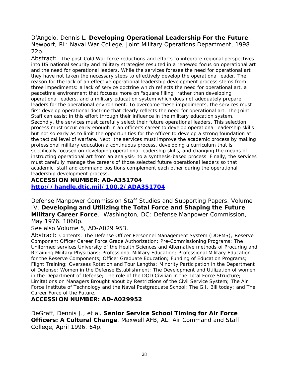D'Angelo, Dennis L. **Developing Operational Leadership For the Future**. Newport, RI: Naval War College, Joint Military Operations Department, 1998. 22p.

Abstract: The post-Cold War force reductions and efforts to integrate regional perspectives into US national security and military strategies resulted in a renewed focus on operational art and the need for operational leaders. While the services foresee the need for operational art they have not taken the necessary steps to effectively develop the operational leader. The reason for the lack of an effective operational leadership development process stems from three impediments: a lack of service doctrine which reflects the need for operational art, a peacetime environment that focuses more on "square filling" rather than developing operational leaders, and a military education system which does not adequately prepare leaders for the operational environment. To overcome these impediments, the services must first develop operational doctrine that clearly reflects the need for operational art. The Joint Staff can assist in this effort through their influence in the military education system. Secondly, the services must carefully select their future operational leaders. This selection process must occur early enough in an officer's career to develop operational leadership skills but not so early as to limit the opportunities for the officer to develop a strong foundation at the tactical level of warfare. Next, the services must improve the academic process by making professional military education a continuous process, developing a curriculum that is specifically focused on developing operational leadership skills, and changing the means of instructing operational art from an analysis- to a synthesis-based process. Finally, the services must carefully manage the careers of those selected future operational leaders so that academic, staff and command positions complement each other during the operational leadership development process.

**ACCESSION NUMBER: AD-A351704 <http://handle.dtic.mil/100.2/ADA351704>**

Defense Manpower Commission Staff Studies and Supporting Papers. Volume IV. **Developing and Utilizing the Total Force and Shaping the Future Military Career Force**. Washington, DC: Defense Manpower Commission, May 1976. 1060p.

See also Volume 5, AD-A029 953.

Abstract: Contents: The Defense Officer Personnel Management System (DOPMS); Reserve Component Officer Career Force Grade Authorization; Pre-Commissioning Programs; The Uniformed services University of the Health Sciences and Alternative methods of Procuring and Retaining Military Physicians; Professional Military Education; Professional Military Education for the Reserve Components; Officer Graduate Education; Funding of Education Programs; Flight Training; Overseas Rotation and Tour Lengths; Minority Participation in the Department of Defense; Women in the Defense Establishment; The Development and Utilization of women in the Department of Defense; The role of the DOD Civilian in the Total Force Structure; Limitations on Managers Brought about by Restrictions of the Civil Service System; The Air Force Institute of Technology and the Naval Postgraduate School; The G.I. Bill today; and The Career Force of the Future.

#### **ACCESSION NUMBER: AD-A029952**

DeGraff, Dennis J., et al. **Senior Service School Timing for Air Force Officers: A Cultural Change**. Maxwell AFB, AL: Air Command and Staff College, April 1996. 64p.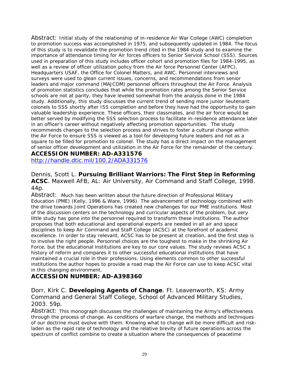Abstract: Initial study of the relationship of in-residence Air War College (AWC) completion to promotion success was accomplished in 1975, and subsequently updated in 1984. The focus of this study is to revalidate the promotion trend cited in the 1984 study and to examine the importance of attendance timing for Air forces officers to Senior Service School (SSS). Sources used in preparation of this study includes officer cohort and promotion files for 1984-1995, as well as a review of officer utilization policy from the Air force Personnel Center (AFPC), Headquarters USAF, the Office for Colonel Matters, and AWC. Personnel interviews and surveys were used to glean current issues, concerns, and recommendations from senior leaders and major command (MAJCOM) personnel officers throughout the Air Force. Analysis of promotion statistics concludes that while the promotion rates among the Senior Service schools are not at parity, they have leveled somewhat from the analysis done in the 1984 study. Additionally, this study discusses the current trend of sending more junior lieutenant colonels to SSS shortly after ISS completion and before they have had the opportunity to gain valuable leadership experience. These officers, their classmates, and the air force would be better served by modifying the SSS selection process to facilitate in-residence attendance later in an officer's career without negatively affecting promotion opportunities. The study recommends changes to the selection process and strives to foster a cultural change within the Air Force to ensure SSS is viewed as a tool for developing future leaders and not as a square to be filled for promotion to colonel. The study has a direct impact on the management of senior officer development and utilization in the Air Force for the remainder of the century.

#### **ACCESSION NUMBER: AD-A331576**

<http://handle.dtic.mil/100.2/ADA331576>

Dennis, Scott L. **Pursuing Brilliant Warriors: The First Step in Reforming ACSC**. Maxwell AFB, AL: Air University, Air Command and Staff College, 1998. 44p.

Abstract: Much has been written about the future direction of Professional Military Education (PME) (Kelly, 1996 & Ware, 1996). The advancement of technology combined with the drive towards Joint Operations has created new challenges for our PME institutions. Most of the discussion centers on the technology and curricular aspects of the problem, but very little study has gone into the personnel required to transform these institutions. The author proposes that both educational and operational experts are needed in all air and space disciplines to keep Air Command and Staff College (ACSC) at the forefront of academic excellence. In order to stay relevant, ACSC has to be present at creation, and the first step is to involve the right people. Personnel choices are the toughest to make in the shrinking Air Force, but the educational institutions are key to our core values. The study reviews ACSC s history of reform and compares it to other successful educational institutions that have maintained a crucial role in their professions. Using elements common to other successful institutions the author hopes to provide a road map the Air Force can use to keep ACSC vital in this changing environment.

#### **ACCESSION NUMBER: AD-A398360**

Dorr, Kirk C. **Developing Agents of Change**. Ft. Leavenworth, KS: Army Command and General Staff College, School of Advanced Military Studies, 2003. 59p.

Abstract: This monograph discusses the challenges of maintaining the Army's effectiveness through the process of change. As conditions of warfare change, the methods and techniques of our doctrine must evolve with them. Knowing what to change will be more difficult and riskladen as the rapid rate of technology and the relative brevity of future operations across the spectrum of conflict combine to create a situation where the consequences of peacetime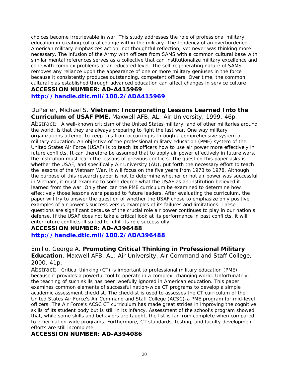choices become irretrievable in war. This study addresses the role of professional military education in creating cultural change within the military. The tendency of an overburdened American military emphasizes action, not thoughtful reflection; yet never was thinking more necessary. The infusion of the Army with officers from SAMS with a common cultural base with similar mental references serves as a collective that can institutionalize military excellence and cope with complex problems at an educated level. The self-regenerating nature of SAMS removes any reliance upon the appearance of one or more military geniuses in the force because it consistently produces outstanding, competent officers. Over time, the common cultural bias established through advanced education can affect changes in service culture

#### **ACCESSION NUMBER: AD-A415969**

#### **<http://handle.dtic.mil/100.2/ADA415969>**

DuPerier, Michael S. **Vietnam: Incorporating Lessons Learned Into the Curriculum of USAF PME.** Maxwell AFB, AL: Air University, 1999. 46p. Abstract: A well-known criticism of the United States military, and of other militaries around the world, is that they are always preparing to fight the last war. One way military organizations attempt to keep this from occurring is through a comprehensive system of military education. An objective of the professional military education (PME) system of the United States Air Force (USAF) is to teach its officers how to use air power more effectively in future conflicts. It can therefore be assumed that to apply air power effectively in future wars, the institution must learn the lessons of previous conflicts. The question this paper asks is whether the USAF, and specifically Air University (AU), put forth the necessary effort to teach the lessons of the Vietnam War. It will focus on the five years from 1973 to 1978. Although the purpose of this research paper is not to determine whether or not air power was successful in Vietnam, it must examine to some degree what the USAF as an institution believed it learned from the war. Only then can the PME curriculum be examined to determine how effectively those lessons were passed to future leaders. After evaluating the curriculum, the paper will try to answer the question of whether the USAF chose to emphasize only positive examples of air power s success versus examples of its failures and limitations. These questions are significant because of the crucial role air power continues to play in our nation s defense. If the USAF does not take a critical look at its performance in past conflicts, it will enter future conflicts ill suited to fulfill its role successfully.

#### **ACCESSION NUMBER: AD-A396488**

**<http://handle.dtic.mil/100.2/ADA396488>**

#### Emilio, George A. **Promoting Critical Thinking in Professional Military Education**. Maxwell AFB, AL: Air University, Air Command and Staff College, 2000. 41p.

Abstract: Critical thinking (CT) is important to professional military education (PME) because it provides a powerful tool to operate in a complex, changing world. Unfortunately, the teaching of such skills has been woefully ignored in American education. This paper examines common elements of successful nation-wide CT programs to develop a simple academic assessment checklist. The checklist is used to assesses the CT curriculum of the United States Air Force's Air Command and Staff College (ACSC)-a PME program for mid-level officers. The Air Force's ACSC CT curriculum has made great strides in improving the cognitive skills of its student body but is still in its infancy. Assessment of the school's program showed that, while some skills and behaviors are taught, the list is far from complete when compared to other nation-wide programs. Furthermore, CT standards, testing, and faculty development efforts are still incomplete.

#### **ACCESSION NUMBER: AD-A394086**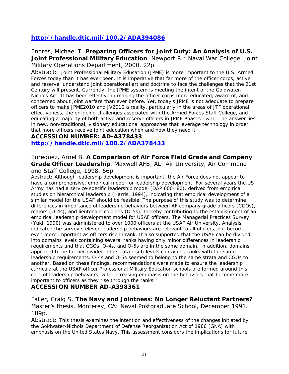### **<http://handle.dtic.mil/100.2/ADA394086>**

#### Endres, Michael T. **Preparing Officers for Joint Duty: An Analysis of U.S. Joint Professional Military Education**. Newport RI: Naval War College, Joint Military Operations Department, 2000. 22p.

Abstract: Joint Professional Military Education (JPME) is more important to the U.S. Armed Forces today than it has ever been. It is imperative that far more of the officer corps, active and reserve, understand joint operational art and doctrine to face the challenges that the 21st Century will present. Currently, the JPME system is meeting the intent of the Goldwater-Nichols Act. It has been effective in making the officer corps more educated, aware of, and concerned about joint warfare than ever before. Yet, today's JPME is not adequate to prepare officers to make JPME2010 and JV2010 a reality, particularly in the areas of JTF operational effectiveness, the on-going challenges associated with the Armed Forces Staff College, and educating a majority of both active and reserve officers in JPME Phases I & II. The answer lies in new, non-traditional, visionary educational approaches that leverage technology in order that more officers receive joint education when and how they need it.

## **ACCESSION NUMBER: AD-A378433**

**<http://handle.dtic.mil/100.2/ADA378433>**

Enrequez, Arnel B. **A Comparison of Air Force Field Grade and Company Grade Officer Leadership**. Maxwell AFB, AL: Air University, Air Command and Staff College, 1998. 66p.

Abstract: Although leadership development is important, the Air Force does not appear to have a comprehensive, empirical model for leadership development. For several years the US Army has had a service-specific leadership model (DAP 600- 80), derived from empirical studies on hierarchical leadership (Harris, 1994), indicating that empirical development of a similar model for the USAF should be feasible. The purpose of this study was to determine differences in importance of leadership behaviors between AF company grade officers (CGOs), majors (O-4s), and lieutenant colonels (O-5s), thereby contributing to the establishment of an empirical leadership development model for USAF officers. The Managerial Practices Survey (Yukl, 1990) was administered to over 1000 officers at the USAF Air University. Analysis indicated the survey s eleven leadership behaviors are relevant to all officers, but become even more important as officers rise in rank. It also supported that the USAF can be divided into domains levels containing several ranks having only minor differences in leadership requirements and that CGOs, O-4s, and O-5s are in the same domain. In addition, domains appeared to be further divided into strata : sub-levels containing ranks with the same leadership requirements. O-4s and O-5s seemed to belong to the same strata and CGOs to another. Based on these findings, recommendations were made to ensure the leadership curricula at the USAF officer Professional Military Education schools are formed around this core of leadership behaviors, with increasing emphasis on the behaviors that become more important to officers as they rise through the ranks.

#### **ACCESSION NUMBER AD-A398361**

Faller, Craig S. **The Navy and Jointness: No Longer Reluctant Partners?** Master's thesis. Monterey, CA: Naval Postgraduate School, December 1991. 189p.

Abstract: This thesis examines the intention and effectiveness of the changes initiated by the Goldwater-Nichols Department of Defense Reorganization Act of 1986 (GNA) with emphasis on the United States Navy. This assessment considers the implications for future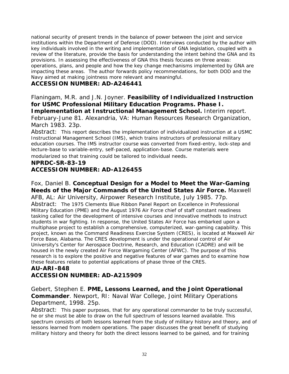national security of present trends in the balance of power between the joint and service institutions within the Department of Defense (DOD). Interviews conducted by the author with key individuals involved in the writing and implementation of GNA legislation, coupled with a review of the literature, provide the basis for understanding the intent behind the GNA and its provisions. In assessing the effectiveness of GNA this thesis focuses on three areas: operations, plans, and people and how the key change mechanisms implemented by GNA are impacting these areas. The author forwards policy recommendations, for both DOD and the Navy aimed at making jointness more relevant and meaningful.

#### **ACCESSION NUMBER: AD-A246441**

Flaningam, M.R. and J.N. Joyner. **Feasibility of Individualized Instruction for USMC Professional Military Education Programs. Phase I. Implementation at Instructional Management School.** Interim report. February-June 81. Alexandria, VA: Human Resources Research Organization, March 1983. 23p.

Abstract: This report describes the implementation of individualized instruction at a USMC Instructional Management School (IMS), which trains instructors of professional military education courses. The IMS instructor course was converted from fixed-entry, lock-step and lecture-base to variable-entry, self-paced, application-base. Course materials were modularized so that training could be tailored to individual needs.

### **NPRDC-SR-83-19 ACCESSION NUMBER: AD-A126455**

#### Fox, Daniel B. **Conceptual Design for a Model to Meet the War-Gaming Needs of the Major Commands of the United States Air Force.** Maxwell

AFB, AL: Air University, Airpower Research Institute, July 1985. 77p. Abstract: The 1975 Clements Blue Ribbon Panel Report on Excellence in Professional Military Education (PME) and the August 1976 Air Force chief of staff constant readiness tasking called for the development of intensive courses and innovative methods to instruct students in war fighting. In response, the United States Air Force has embarked upon a multiphase project to establish a comprehensive, computerized, war-gaming capability. This project, known as the Command Readiness Exercise System (CRES), is located at Maxwell Air Force Base, Alabama. The CRES development is under the operational control of Air University's Center for Aerospace Doctrine, Research, and Education (CADRE) and will be housed in the newly created Air Force Wargaming Center (AFWC). The purpose of this research is to explore the positive and negative features of war games and to examine how these features relate to potential applications of phase three of the CRES.

#### **AU-ARI-848 ACCESSION NUMBER: AD-A215909**

Gebert, Stephen E. **PME, Lessons Learned, and the Joint Operational Commander**. Newport, RI: Naval War College, Joint Military Operations Department, 1998. 25p.

Abstract: This paper purposes, that for any operational commander to be truly successful, he or she must be able to draw on the full spectrum of lessons learned available. This spectrum consists of both lessons learned from the study of military history and theory, and of lessons learned from modern operations. The paper discusses the great benefit of studying military history and theory for both the direct lessons learned to be gained, and for training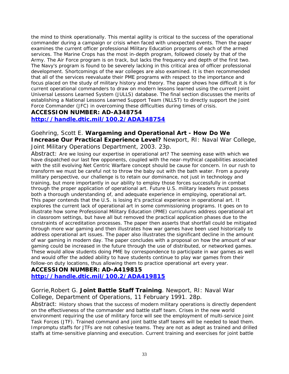the mind to think operationally. This mental agility is critical to the success of the operational commander during a campaign or crisis when faced with unexpected events. Then the paper examines the current officer professional Military Education programs of each of the armed services. The Marine Crops has the most in-depth program, followed closely by that of the Army. The Air Force program is on track, but lacks the frequency and depth of the first two. The Navy's program is found to be severely lacking in this critical area of officer professional development. Shortcomings of the war colleges are also examined. It is then recommended that all of the services reevaluate their PME programs with respect to the importance and focus placed on the study of military history and theory. The paper shows how difficult it is for current operational commanders to draw on modern lessons learned using the current Joint Universal Lessons Learned System (JULLS) database. The final section discusses the merits of establishing a National Lessons Learned Support Team (NLLST) to directly support the Joint Force Commander (JFC) in overcoming these difficulties during times of crisis.

#### **ACCESSION NUMBER: AD-A348754**

**<http://handle.dtic.mil/100.2/ADA348754>**

Goehring, Scott E. **Wargaming and Operational Art - How Do We Increase Our Practical Experience Level?** Newport, RI: Naval War College, Joint Military Operations Department, 2003. 23p.

Abstract: Are we losing our expertise in operational art? The seeming ease with which we have dispatched our last few opponents, coupled with the near-mythical capabilities associated with the still evolving Net Centric Warfare concept should be cause for concern. In our rush to transform we must be careful not to throw the baby out with the bath water. From a purely military perspective, our challenge is to retain our dominance, not just in technology and training, but more importantly in our ability to employ those forces successfully in combat through the proper application of operational art. Future U.S. military leaders must possess both a thorough understanding of, and adequate experience in employing, operational art. This paper contends that the U.S. is losing it's practical experience in operational art. It explores the current lack of operational art in some commissioning programs. It goes on to illustrate how some Professional Military Education (PME) curriculums address operational art in classroom settings, but have all but removed the practical application phases due to the constraints of accreditation processes. The paper then asserts that shortfall could be mitigated through more war gaming and then illustrates how war games have been used historically to address operational art issues. The paper also illustrates the significant decline in the amount of war gaming in modern day. The paper concludes with a proposal on how the amount of war gaming could be increased in the future through the use of distributed, or networked games. These would allow students doing PME by correspondence to participate in war games as well and would offer the added ability to have students continue to play war games from their follow-on duty locations, thus allowing them to practice operational art every year.

#### **ACCESSION NUMBER: AD-A419815 <http://handle.dtic.mil/100.2/ADA419815>**

#### Gorrie,Robert G. **Joint Battle Staff Training**. Newport, RI: Naval War College, Department of Operations, 11 February 1991. 28p.

Abstract: History shows that the success of modern military operations is directly dependent on the effectiveness of the commander and battle staff team. Crises in the new world environment requiring the use of military force will see the employment of multi-service Joint Task Forces (JTF). Trained command and joint battle staff teams will be needed to lead them. Impromptu staffs for JTFs are not cohesive teams. They are not as adept as trained and drilled staffs at time-sensitive planning and execution. Current training and exercises for joint battle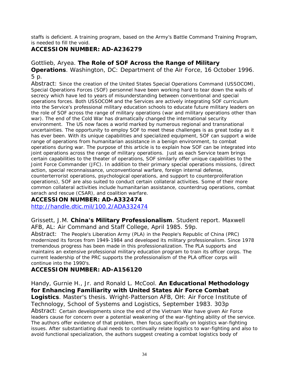staffs is deficient. A training program, based on the Army's Battle Command Training Program, is needed to fill the void.

### **ACCESSION NUMBER: AD-A236279**

### Gottlieb, Aryea. **The Role of SOF Across the Range of Military**

**Operations**. Washington, DC: Department of the Air Force, 16 October 1996. 5 p.

Abstract: Since the creation of the United States Special Operations Command (USSOCOM), Special Operations Forces (SOF) personnel have been working hard to tear down the walls of secrecy which have led to years of misunderstanding between conventional and special operations forces. Both USSOCOM and the Services are actively integrating SOF curriculum into the Service's professional military education schools to educate future military leaders on the role of SOF across the range of military operations (war and military operations other than war). The end of the Cold War has dramatically changed the international security environment. The US now faces a world marked by numerous regional and transnational uncertainties. The opportunity to employ SOF to meet these challenges is as great today as it has ever been. With its unique capabilities and specialized equipment, SOF can support a wide range of operations from humanitarian assistance in a benign environment, to combat operations during war. The purpose of this article is to explain how SOF can be integrated into joint operations across the range of military operations. Just as each Service team brings certain capabilities to the theater of operations, SOF similarly offer unique capabilities to the Joint Force Commander (JFC). In addition to their primary special operations missions, (direct action, special reconnaissance, unconventional warfare, foreign internal defense, counterterrorist operations, psychological operations, and support to counterproliferation operations), SOF are also suited to conduct certain collateral activities. Some of their more common collateral activities include humanitarian assistance, counterdrug operations, combat serach and rescue (CSAR), and coalition warfare.

### **ACCESSION NUMBER: AD-A332474**

<http://handle.dtic.mil/100.2/ADA332474>

Grissett, J.M. **China's Military Professionalism**. Student report. Maxwell AFB, AL: Air Command and Staff College, April 1985. 59p.

Abstract: The People's Liberation Army (PLA) in the People's Republic of China (PRC) modernized its forces from 1949-1984 and developed its military professionalism. Since 1978 tremendous progress has been made in this professionalization. The PLA supports and maintains an extensive professional military education program to train its officer corps. The current leadership of the PRC supports the professionalism of the PLA officer corps will continue into the 1990's.

### **ACCESSION NUMBER: AD-A156120**

Handy, Gurnie H., Jr. and Ronald L. McCool. **An Educational Methodology for Enhancing Familiarity with United States Air Force Combat** 

**Logistics**. Master's thesis. Wright-Patterson AFB, OH: Air Force Institute of Technology, School of Systems and Logistics, September 1983. 303p Abstract: Certain developments since the end of the Vietnam War have given Air Force leaders cause for concern over a potential weakening of the war-fighting ability of the service. The authors offer evidence of that problem, then focus specifically on logistics war-fighting issues. After substantiating dual needs to continually relate logistics to war-fighting and also to avoid functional specialization, the authors suggest creating a combat logistics body of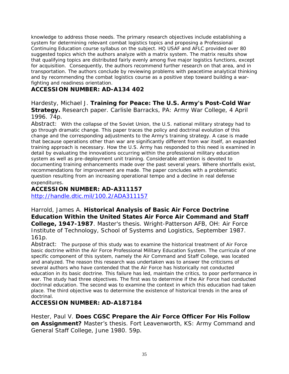knowledge to address those needs. The primary research objectives include establishing a system for determining relevant combat logistics topics and proposing a Professional Continuing Education course syllabus on the subject. HQ USAF and AFLC provided over 80 suggested topics which the authors analyze with a matrix system. The matrix results show that qualifying topics are distributed fairly evenly among five major logistics functions, except for acquisition. Consequently, the authors recommend further research on that area, and in transportation. The authors conclude by reviewing problems with peacetime analytical thinking and by recommending the combat logistics course as a positive step toward building a warfighting and readiness orientation.

#### **ACCESSION NUMBER: AD-A134 402**

Hardesty, Michael J. **Training for Peace: The U.S. Army's Post-Cold War Strategy.** Research paper. Carlisle Barracks, PA: Army War College, 4 April 1996. 74p.

Abstract: With the collapse of the Soviet Union, the U.S. national military strategy had to go through dramatic change. This paper traces the policy and doctrinal evolution of this change and the corresponding adjustments to the Army's training strategy. A case is made that because operations other than war are significantly different from war itself, an expanded training approach is necessary. How the U.S. Army has responded to this need is examined in detail by evaluating the innovations occurring within the professional military education system as well as pre-deployment unit training. Considerable attention is devoted to documenting training enhancements made over the past several years. Where shortfalls exist, recommendations for improvement are made. The paper concludes with a problematic question resulting from an increasing operational tempo and a decline in real defense expenditures.

#### **ACCESSION NUMBER: AD-A311157**

<http://handle.dtic.mil/100.2/ADA311157>

Harrold, James A. **Historical Analysis of Basic Air Force Doctrine Education Within the United States Air Force Air Command and Staff College, 1947-1987**. Master's thesis. Wright-Patterson AFB, OH: Air Force Institute of Technology, School of Systems and Logistics, September 1987. 161p.

Abstract: The purpose of this study was to examine the historical treatment of Air Force basic doctrine within the Air Force Professional Military Education System. The curricula of one specific component of this system, namely the Air Command and Staff College, was located and analyzed. The reason this research was undertaken was to answer the criticisms of several authors who have contended that the Air Force has historically not conducted education in its basic doctrine. This failure has led, maintain the critics, to poor performance in war. The study had three objectives. The first was to determine if the Air Force had conducted doctrinal education. The second was to examine the context in which this education had taken place. The third objective was to determine the existence of historical trends in the area of doctrinal.

#### **ACCESSION NUMBER: AD-A187184**

Hester, Paul V. **Does CGSC Prepare the Air Force Officer For His Follow on Assignment?** Master's thesis. Fort Leavenworth, KS: Army Command and General Staff College, June 1980. 59p.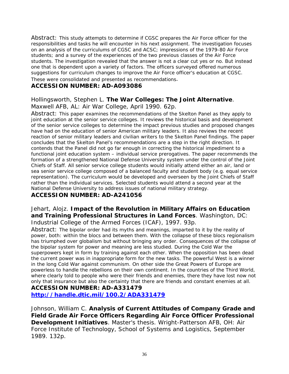Abstract: This study attempts to determine if CGSC prepares the Air Force officer for the responsibilities and tasks he will encounter in his next assignment. The investigation focuses on an analysis of the curriculums of CGSC and ACSC; impressions of the 1979-80 Air Force students; and a survey of the experiences of the two previous classes of the Air Force students. The investigation revealed that the answer is not a clear cut yes or no. But instead one that is dependent upon a variety of factors. The officers surveyed offered numerous suggestions for curriculum changes to improve the Air Force officer's education at CGSC. These were consolidated and presented as recommendations.

#### **ACCESSION NUMBER: AD-A093086**

#### Hollingsworth, Stephen L. **The War Colleges: The Joint Alternative**.

Maxwell AFB, AL: Air War College, April 1990. 62p.

Abstract: This paper examines the recommendations of the Skelton Panel as they apply to joint education at the senior service colleges. It reviews the historical basis and development of the senior service colleges to determine the impact previous studies and proposed changes have had on the education of senior American military leaders. It also reviews the recent reaction of senior military leaders and civilian writers to the Skelton Panel findings. The paper concludes that the Skelton Panel's recommendations are a step in the right direction. It contends that the Panel did not go far enough in correcting the historical impediment to a functional joint education system – individual service prerogatives. The paper recommends the formation of a strengthened National Defense University system under the control of the Joint Chiefs of Staff. All senior service college students would initially attend either an air, land or sea senior service college composed of a balanced faculty and student body (e.g. equal service representation). The curriculum would be developed and overseen by the Joint Chiefs of Staff rather than the individual services. Selected students would attend a second year at the National Defense University to address issues of national military strategy.

#### **ACCESSION NUMBER: AD-A241056**

## Jehart, Alojz. **Impact of the Revolution in Military Affairs on Education and Training Professional Structures in Land Forces**. Washington, DC:

Industrial College of the Armed Forces (ICAF), 1997. 93p.

Abstract: The bipolar order had its myths and meanings, imparted to it by the reality of power, both: within the blocs and between them. With the collapse of these blocs regionalism has triumphed over globalism but without bringing any order. Consequences of the collapse of the bipolar system for power and meaning are less studied. During the Cold War the superpowers kept in form by training against each other. When the opposition has been dead the current power was in inappropriate form for the new tasks. The powerful West is a winner in the long Cold War against communism. On other side the Great Powers of Europe are powerless to handle the rebellions on their own continent. In the countries of the Third World, where clearly told to people who were their friends and enemies, there they have lost now not only that insurance but also the certainty that there are friends and constant enemies at all. **ACCESSION NUMBER: AD-A331479** 

**<http://handle.dtic.mil/100.2/ADA331479>**

Johnson, William C. **Analysis of Current Attitudes of Company Grade and Field Grade Air Force Officers Regarding Air Force Officer Professional Development Initiatives**. Master's thesis. Wright-Patterson AFB, OH: Air Force Institute of Technology, School of Systems and Logistics, September 1989. 132p.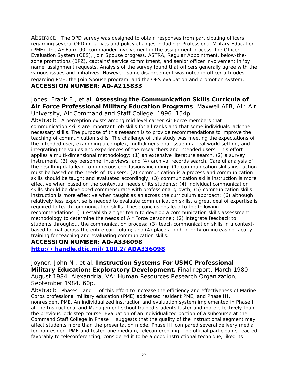Abstract: The OPD survey was designed to obtain responses from participating officers regarding several OPD initiatives and policy changes including: Professional Military Education (PME), the AF Form 90, commander involvement in the assignment process, the Officer Evaluation System (OES), Join Spouse progress, ASTRA, Regular Appointment, below-thezone promotions (BPZ), captains' service commitment, and senior officer involvement in 'by name' assignment requests. Analysis of the survey found that officers generally agree with the various issues and initiatives. However, some disagreement was noted in officer attitudes regarding PME, the Join Spouse program, and the OES evaluation and promotion system. **ACCESSION NUMBER: AD-A215833** 

#### Jones, Frank E., et al. **Assessing the Communication Skills Curricula of Air Force Professional Military Education Programs**. Maxwell AFB, AL: Air University, Air Command and Staff College, 1996. 154p.

Abstract: A perception exists among mid level career Air Force members that communication skills are important job skills for all ranks and that some individuals lack the necessary skills. The purpose of this research is to provide recommendations to improve the teaching of communication skills. The challenge of this study was meeting the expectations of the intended user, examining a complex, multidimensional issue in a real world setting, and integrating the values and experiences of the researchers and intended users. This effort applies a multi-dimensional methodology: (1) an extensive literature search, (2) a survey instrument, (3) key personnel interviews, and (4) archival records search. Careful analysis of the resulting data lead to numerous conclusions including: (1) communication skills instruction must be based on the needs of its users; (2) communication is a process and communication skills should be taught and evaluated accordingly; (3) communication skills instruction is more effective when based on the contextual needs of its students; (4) individual communication skills should be developed commensurate with professional growth; (5) communication skills instruction is more effective when taught as an across the curriculum approach; (6) although relatively less expertise is needed to evaluate communication skills, a great deal of expertise is required to teach communication skills. These conclusions lead to the following recommendations: (1) establish a tiger team to develop a communication skills assessment methodology to determine the needs of Air Force personnel; (2) integrate feedback to students throughout the communication process; (3) teach communication skills in a contextbased format across the entire curriculum; and (4) place a high priority on increasing faculty training for teaching and evaluating communication skills.

#### **ACCESSION NUMBER: AD-A336098**

**<http://handle.dtic.mil/100.2/ADA336098>**

Joyner, John N., et al. **Instruction Systems For USMC Professional Military Education: Exploratory Development.** Final report. March 1980- August 1984. Alexandria, VA: Human Resources Research Organization, September 1984. 60p.

Abstract: Phases I and II of this effort to increase the efficiency and effectiveness of Marine Corps professional military education (PME) addressed resident PME; and Phase III, nonresident PME. An individualized instruction and evaluation system implemented in Phase I at the Instructional and Management school trained students faster and more effectively than the previous lock-step course. Evaluation of an individualized portion of a subcourse at the Command Staff College in Phase II suggests that the quality of the instructional segment may affect students more than the presentation mode. Phase III compared several delivery media for nonresident PME and tested one medium, teleconferencing. The official participants reacted favorably to teleconferencing, considered it to be a good instructional technique, liked its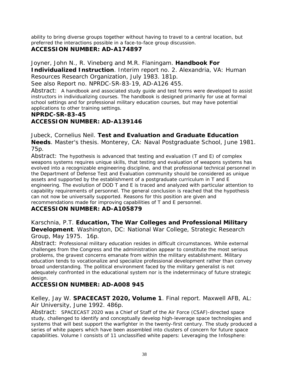ability to bring diverse groups together without having to travel to a central location, but preferred the interactions possible in a face-to-face group discussion.

### **ACCESSION NUMBER: AD-A174897**

Joyner, John N., R. Vineberg and M.R. Flaningam. **Handbook For**

**Individualized Instruction**. Interim report no. 2. Alexandria, VA: Human Resources Research Organization, July 1983. 181p.

See also Report no. NPRDC-SR-83-19, AD-A126 455.

Abstract: A handbook and associated study guide and test forms were developed to assist instructors in individualizing courses. The handbook is designed primarily for use at formal school settings and for professional military education courses, but may have potential applications to other training settings.

#### **NPRDC-SR-83-45**

### **ACCESSION NUMBER: AD-A139146**

Jubeck, Cornelius Neil. **Test and Evaluation and Graduate Education Needs**. Master's thesis. Monterey, CA: Naval Postgraduate School, June 1981. 75p.

Abstract: The hypothesis is advanced that testing and evaluation (T and E) of complex weapons systems requires unique skills, that testing and evaluation of weapons systems has evolved into a recognizable engineering discipline, and that professional technical personnel in the Department of Defense Test and Evaluation community should be considered as unique assets and supported by the establishment of a postgraduate curriculum in T and E engineering. The evolution of DOD T and E is traced and analyzed with particular attention to capability requirements of personnel. The general conclusion is reached that the hypothesis can not now be universally supported. Reasons for this position are given and recommendations made for improving capabilities of T and E personnel.

#### **ACCESSION NUMBER: AD-A105879**

#### Karschnia, P.T. **Education, The War Colleges and Professional Military Development**. Washington, DC: National War College, Strategic Research Group, May 1975. 16p.

Abstract: Professional military education resides in difficult circumstances. While external challenges from the Congress and the administration appear to constitute the most serious problems, the gravest concerns emanate from within the military establishment. Military education tends to vocationalize and specialize professional development rather than convey broad understanding. The political environment faced by the military generalist is not adequately confronted in the educational system nor is the indeterminacy of future strategic design.

### **ACCESSION NUMBER: AD-A008 945**

#### Kelley, Jay W. **SPACECAST 2020, Volume 1**. Final report. Maxwell AFB, AL: Air University, June 1992. 486p.

Abstract: SPACECAST 2020 was a Chief of Staff of the Air Force (CSAF)-directed space study, challenged to identify and conceptually develop high-leverage space technologies and systems that will best support the warfighter in the twenty-first century. The study produced a series of white papers which have been assembled into clusters of concern for future space capabilities. Volume I consists of 11 unclassified white papers: Leveraging the Infosphere: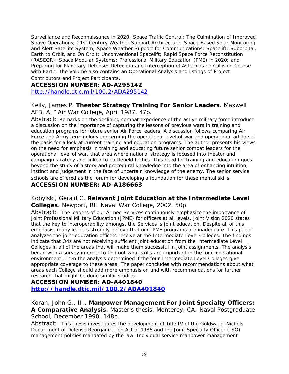Surveillance and Reconnaissance in 2020; Space Traffic Control: The Culmination of Improved Spave Operations; 21st Century Weather Support Architecture; Space-Based Solar Monitoring and Alert Satellite System; Space Weather Support for Communications; Spacelift: Suborbital, Earth to Orbit, and On Orbit; Unconventional Spacelift; Rapid Space Force Reconstitution (RASEOR); Space Modular Systems; Professional Military Education (PME) in 2020; and Preparing for Planetary Defense: Detection and Interception of Asteroids on Collision Course with Earth. The Volume also contains an Operational Analysis and listings of Project Contributors and Project Participants.

### **ACCESSION NUMBER: AD-A295142**

<http://handle.dtic.mil/100.2/ADA295142>

#### Kelly, James P. **Theater Strategy Training For Senior Leaders**. Maxwell AFB, AL" Air War College, April 1987. 47p.

Abstract: Remarks on the declining combat experience of the active military force introduce a discussion on the importance of capturing the lessons of previous wars in training and education programs for future senior Air Force leaders. A discussion follows comparing Air Force and Army terminology concerning the operational level of war and operational art to set the basis for a look at current training and education programs. The author presents his views on the need for emphasis in training and educating future senior combat leaders for the operational level of war, that area where national strategy is focused into theater and campaign strategy and linked to battlefield tactics. This need for training and education goes beyond the study of history and procedural knowledge into the area of enhancing intuition, instinct and judgement in the face of uncertain knowledge of the enemy. The senior service schools are offered as the forum for developing a foundation for these mental skills.

#### **ACCESSION NUMBER: AD-A186663**

#### Kobylski, Gerald C. **Relevant Joint Education at the Intermediate Level Colleges**. Newport, RI: Naval War College, 2002. 50p.

Abstract: The leaders of our Armed Services continuously emphasize the importance of Joint Professional Military Education (JPME) for officers at all levels. Joint Vision 2020 states that the key to interoperability amongst the Services is joint education. Despite all of this emphasis, many leaders strongly believe that our JPME programs are inadequate. This paper analyzes the joint education officers receive at the Intermediate Level Colleges. The findings indicate that O4s are not receiving sufficient joint education from the Intermediate Level Colleges in all of the areas that will make them successful in joint assignments. The analysis began with a survey in order to find out what skills are important in the joint operational environment. Then the analysis determined if the four Intermediate Level Colleges give appropriate coverage to these areas. The paper concludes with recommendations about what areas each College should add more emphasis on and with recommendations for further research that might be done similar studies.

#### **ACCESSION NUMBER: AD-A401840**

**<http://handle.dtic.mil/100.2/ADA401840>**

Koran, John G., III. **Manpower Management For Joint Specialty Officers: A Comparative Analysis**. Master's thesis. Monterey, CA: Naval Postgraduate School, December 1990. 148p.

Abstract: This thesis investigates the development of Title IV of the Goldwater-Nichols Department of Defense Reorganization Act of 1986 and the Joint Specialty Officer (JSO) management policies mandated by the law. Individual service manpower management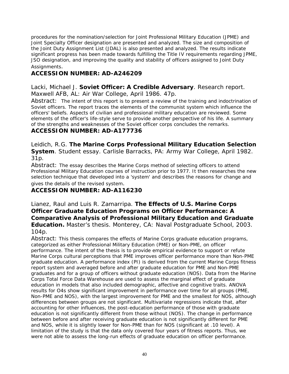procedures for the nomination/selection for Joint Professional Military Education (JPME) and Joint Specialty Officer designation are presented and analyzed. The size and composition of the Joint Duty Assignment List (JDAL) is also presented and analyzed. The results indicate significant progress has been made towards fulfilling the Title IV requirements regarding JPME, JSO designation, and improving the quality and stability of officers assigned to Joint Duty Assignments.

#### **ACCESSION NUMBER: AD-A246209**

Lacki, Michael J. **Soviet Officer: A Credible Adversary**. Research report. Maxwell AFB, AL: Air War College, April 1986. 47p.

Abstract: The intent of this report is to present a review of the training and indoctrination of Soviet officers. The report traces the elements of the communist system which influence the officers' beliefs. Aspects of civilian and professional military education are reviewed. Some elements of the officer's life-style serve to provide another perspective of his life. A summary of the strengths and weaknesses of the Soviet officer corps concludes the remarks.

#### **ACCESSION NUMBER: AD-A177736**

Leidich, R.G. **The Marine Corps Professional Military Education Selection System**. Student essay. Carlisle Barracks, PA: Army War College, April 1982. 31p.

Abstract: The essay describes the Marine Corps method of selecting officers to attend Professional Military Education courses of instruction prior to 1977. It then researches the new selection technique that developed into a 'system' and describes the reasons for change and gives the details of the revised system.

#### **ACCESSION NUMBER: AD-A116230**

Lianez, Raul and Luis R. Zamarripa. **The Effects of U.S. Marine Corps Officer Graduate Education Programs on Officer Performance: A Comparative Analysis of Professional Military Education and Graduate Education.** Master's thesis. Monterey, CA: Naval Postgraduate School, 2003. 104p.

Abstract: This thesis compares the effects of Marine Corps graduate education programs, categorized as either Professional Military Education (PME) or Non-PME, on officer performance. The intent of the thesis is to provide empirical evidence to support or refute Marine Corps cultural perceptions that PME improves officer performance more than Non-PME graduate education. A performance index (PI) is derived from the current Marine Corps fitness report system and averaged before and after graduate education for PME and Non-PME graduates and for a group of officers without graduate education (NOS). Data from the Marine Corps Total Force Data Warehouse are used to assess the marginal effect of graduate education in models that also included demographic, affective and cognitive traits. ANOVA results for O4s show significant improvement in performance over time for all groups (PME, Non-PME and NOS), with the largest improvement for PME and the smallest for NOS, although differences between groups are not significant. Multivariate regressions indicate that, after accounting for other influences, the post-education performance of those with graduate education is not significantly different from those without (NOS). The change in performance between before and after receiving graduate education is not significantly different for PME and NOS, while it is slightly lower for Non-PME than for NOS (significant at .10 level). A limitation of the study is that the data only covered four years of fitness reports. Thus, we were not able to assess the long-run effects of graduate education on officer performance.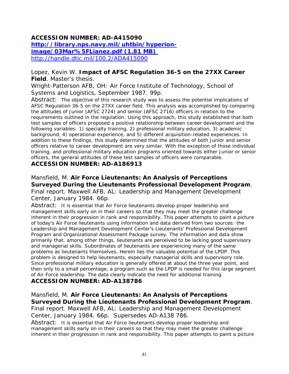#### **ACCESSION NUMBER: AD-A415090 http://library.nps.navy.mil/uhtbin/hyperionimage/03Mar%5FLianez.pdf (1.81 MB)**  <http://handle.dtic.mil/100.2/ADA415090>

#### Lopez, Kevin W. **Impact of AFSC Regulation 36-5 on the 27XX Career Field**. Master's thesis.

Wright-Patterson AFB, OH: Air Force Institute of Technology, School of Systems and Logistics, September 1987. 99p.

Abstract: The objective of this research study was to assess the potential implications of AFSC Regulation 36-5 on the 27XX career field. This analysis was accomplished by comparing the attitudes of Junior (AFSC 2724) and senior (AFSC 2716) officers in relation to the requirements outlined in the regulation. Using this approach, this study established that both test samples of officers proposed a positive relationship between career development and the following variables: 1) specialty training, 2) professional military education, 3) academic background, 4) operational experience, and 5) different acquisition-related experiences. In addition to these findings, this study determined that the attitudes of both Junior and senior officers relative to career development are very similar. With the exception of those individual training, and professional military education programs oriented towards either Junior or senior officers, the general attitudes of these test samples of officers were comparable.

#### **ACCESSION NUMBER: AD-A186913**

#### Mansfield, M. **Air Force Lieutenants: An Analysis of Perceptions Surveyed During the Lieutenants Professional Development Program**. Final report. Maxwell AFB, AL: Leadership and Management Development Center, January 1984. 66p.

Abstract: It is essential that Air Force lieutenants develop proper leadership and management skills early on in their careers so that they may meet the greater challenge inherent in their progression in rank and responsibility, This paper attempts to paint a picture of today's Air Force lieutenants using information and data derived from two sources: the Leadership and Management Development Center's Lieutenants' Professional Development Program and Organizational Assessment Package survey. The information and data show primarily that, among other things, lieutenants are perceived to be lacking good supervisory and managerial skills. Subordinates of lieutenants are experiencing many of the same problems as lieutenants themselves. Herein lies the valuable potential of the LPDP. This problem is designed to help lieutenants, especially managerial skills and supervisory role. Since professional military education is generally offered at about the three year point, and then only to a small percentage, a program such as the LPDP is needed for this large segment of Air Force leadership. The data clearly indicate the need for additional training. **ACCESSION NUMBER: AD-A138786** 

## Mansfield, M. **Air Force Lieutenants: An Analysis of Perceptions Surveyed During the Lieutenants Professional Development Program**.

Final report. Maxwell AFB, AL: Leadership and Management Development Center, January 1984. 66p. Supersedes AD-A138 786.

Abstract: It is essential that Air Force lieutenants develop proper leadership and management skills early on in their careers so that they may meet the greater challenge inherent in their progression in rank and responsibility. This paper attempts to paint a picture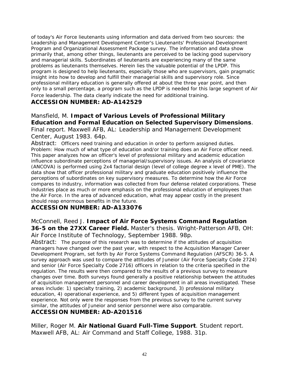of today's Air Force lieutenants using information and data derived from two sources: the Leadership and Management Development Center's Lieutenants' Professional Development Program and Organizational Assessment Package survey. The information and data show primarily that, among other things, lieutenants are perceived to be lacking good supervisory and managerial skills. Subordinates of lieutenants are experiencing many of the same problems as lieutenants themselves. Herein lies the valuable potential of the LPDP. This program is designed to help lieutenants, especially those who are supervisors, gain pragmatic insight into how to develop and fulfill their managerial skills and supervisory role. Since professional military education is generally offered at about the three year point, and then only to a small percentage, a program such as the LPDP is needed for this large segment of Air Force leadership. The data clearly indicate the need for additional training.

#### **ACCESSION NUMBER: AD-A142529**

#### Mansfield, M. **Impact of Various Levels of Professional Military Education and Formal Education on Selected Supervisory Dimensions**. Final report. Maxwell AFB, AL: Leadership and Management Development Center, August 1983. 64p.

Abstract: Officers need training and education in order to perform assigned duties. Problem: How much of what type of education and/or training does an Air Force officer need. This paper analyzes how an officer's level of professional military and academic education influence subordinate perceptions of managerial/supervisory issues. An analysis of covariance (ANCOVA) is performed using 2x4 factorial design (level of college degree x level of PME). The data show that officer professional military and graduate education positively influence the perceptions of subordinates on key supervisory measures. To determine how the Air Force compares to industry, information was collected from four defense related corporations. These industries place as much or more emphasis on the professional education of employees than the Air Force. In the area of advanced education, what may appear costly in the present should reap enormous benefits in the future.

#### **ACCESSION NUMBER: AD-A133076**

McConnell, Reed J. **Impact of Air Force Systems Command Regulation 36-5 on the 27XX Career Field.** Master's thesis. Wright-Patterson AFB, OH: Air Force Institute of Technology, September 1988. 98p.

Abstract: The purpose of this research was to determine if the attitudes of acquisition managers have changed over the past year, with respect to the Acquisition Manager Career Development Program, set forth by Air Force Systems Command Regulation (AFSCR) 36-5. A survey approach was used to compare the attitudes of Juneior (Air Force Specialty Code 2724) and senior (Air Force Specialty Code 2716) officers in relation to the criteria specified in the regulation. The results were then compared to the results of a previous survey to measure changes over time. Both surveys found generally a positive relationship between the attitudes of acquisition management personnel and career development in all areas investigated. These areas include: 1) specialty training, 2) academic background, 3) professional military education, 4) operational experience, and 5) different types of acquisition management experience. Not only were the responses from the previous survey to the current survey similar, the attitudes of Juneior and senior personnel were also comparable.

#### **ACCESSION NUMBER: AD-A201516**

Miller, Roger M. **Air National Guard Full-Time Support**. Student report. Maxwell AFB, AL: Air Command and Staff College, 1988. 31p.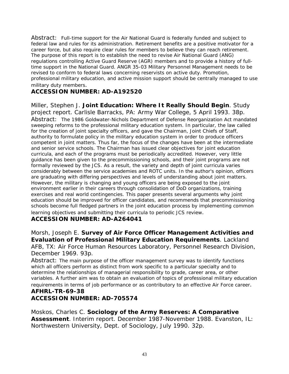Abstract: Full-time support for the Air National Guard is federally funded and subject to federal law and rules for its administration. Retirement benefits are a positive motivator for a career force, but also require clear rules for members to believe they can reach retirement. The purpose of this report is to establish the need to revise Air National Guard (ANG) regulations controlling Active Guard Reserve (AGR) members and to provide a history of fulltime support in the National Guard. ANGR 35-03 Military Personnel Management needs to be revised to conform to federal laws concerning reservists on active duty. Promotion, professional military education, and active mission support should be centrally managed to use military duty members.

#### **ACCESSION NUMBER: AD-A192520**

Miller, Stephen J. **Joint Education: Where It Really Should Begin**. Study project report. Carlisle Barracks, PA: Army War College, 5 April 1993. 38p. Abstract: The 1986 Goldwater-Nichols Department of Defense Reorganization Act mandated sweeping reforms to the professional military education system. In particular, the law called for the creation of joint specialty officers, and gave the Chairman, Joint Chiefs of Staff, authority to formulate policy in the military education system in order to produce officers competent in joint matters. Thus far, the focus of the changes have been at the intermediate and senior service schools. The Chairman has issued clear objectives for joint education curricula, and each of the programs must be periodically accredited. However, very little guidance has been given to the precommissioning schools, and their joint programs are not formally reviewed by the JCS. As a result, the variety and depth of joint curricula varies considerably between the service academies and ROTC units. In the author's opinion, officers are graduating with differing perspectives and levels of understanding about joint matters. However, the military is changing and young officers are being exposed to the joint environment earlier in their careers through consolidation of DoD organizations, training exercises and real world contingencies. This paper presents several arguments why joint education should be improved for officer candidates, and recommends that precommissioning schools become full fledged partners in the joint education process by implementing common learning objectives and submitting their curricula to periodic JCS review.

#### **ACCESSION NUMBER: AD-A264041**

Morsh, Joseph E. **Survey of Air Force Officer Management Activities and Evaluation of Professional Military Education Requirements**. Lackland AFB, TX: Air Force Human Resources Laboratory, Personnel Research Division, December 1969. 93p.

Abstract: The main purpose of the officer management survey was to identify functions which all officers perform as distinct from work specific to a particular specialty and to determine the relationships of managerial responsibility to grade, career area, or other variables. A further aim was to obtain an evaluation of topics of professional military education requirements in terms of job performance or as contributory to an effective Air Force career.

#### **AFHRL-TR-69-38 ACCESSION NUMBER: AD-705574**

Moskos, Charles C. **Sociology of the Army Reserves: A Comparative Assessment**. Interim report. December 1987-November 1988. Evanston, IL: Northwestern University, Dept. of Sociology, July 1990. 32p.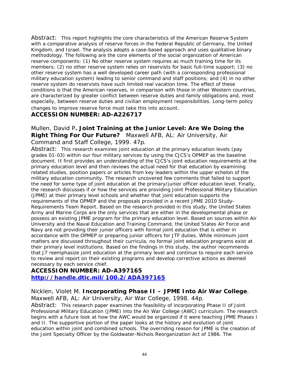Abstract: This report highlights the core characteristics of the American Reserve System with a comparative analysis of reserve forces in the Federal Republic of Germany, the United Kingdom, and Israel. The analysis adopts a case-based approach and uses qualitative binary methodology. The following are the core elements of the social organization of American reserve components: (1) No other reserve system requires as much training time for its members; (2) no other reserve system relies on reservists for basic full-time support; (3) no other reserve system has a well developed career path (with a corresponding professional military education system) leading to senior command and staff positions; and (4) in no other reserve system do reservists have such limited real vacation time. The effect of these conditions is that the American reserves, in comparison with those in other Western countries, are characterized by greater conflict between reserve duties and family obligations and, most especially, between reserve duties and civilian employment responsibilities. Long-term policy changes to improve reserve force must take this into account.

#### **ACCESSION NUMBER: AD-A226717**

#### Mullen, David P**. Joint Training at the Junior Level: Are We Doing the Right Thing For Our Future?** Maxwell AFB, AL: Air University, Air Command and Staff College, 1999. 47p.

Abstract: This research examines joint education at the primary education levels (pay grades 01-03) within our four military services by using the CJCS's OPMEP as the baseline document. It first provides an understanding of the CJCS's joint education requirements at the primary education level and then reviews the actual need for that education by examining related studies, position papers or articles from key leaders within the upper echelon of the military education community. The research uncovered few comments that failed to support the need for some type of joint education at the primary/junior officer education level. Finally, the research discusses if or how the services are providing Joint Professional Military Education (JPME) at their primary level schools and whether that joint education supports the requirements of the OPMEP and the proposals provided in a recent JPME 2010 Study-Requirements Team Report. Based on the research provided in this study, the United States Army and Marine Corps are the only services that are either in the developmental phase or possess an existing JPME program for the primary education level. Based on sources within Air University and the Naval Education and Training Command, the United States Air Force and Navy are not providing their junior officers with formal joint education that is either in accordance with the OPMEP or preparing junior officers for JTF duties. While minimum joint matters are discussed throughout their curricula, no formal joint education programs exist at their primary level institutions. Based on the findings in this study, the author recommends that J7 reemphasize joint education at the primary level and continue to require each service to review and report on their existing programs and develop corrective actions as deemed necessary by each service chief.

#### **ACCESSION NUMBER: AD-A397165 <http://handle.dtic.mil/100.2/ADA397165>**

Nicklen, Violet M. **Incorporating Phase II – JPME Into Air War College**. Maxwell AFB, AL: Air University, Air War College, 1998. 44p.

Abstract: This research paper examines the feasibility of incorporating Phase II of Joint Professional Military Education (JPME) into the Air War College (AWC) curriculum. The research begins with a future look at how the AWC would be organized if it were teaching JPME Phases I and II. The supportive portion of the paper looks at the history and evolution of joint education within joint and combined schools. The overriding reason for JPME is the creation of the Joint Specialty Officer by the Goldwater-Nichols Reorganization Act of 1986. The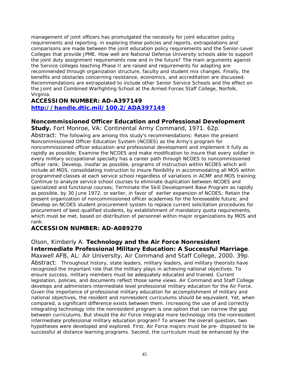management of joint officers has promulgated the necessity for joint education policy requirements and reporting. in exploring these policies and reports, extrapolations and comparisons are made between the joint education policy requirements and the Senior-Level Colleges that provide JPME. How well are National Defense University schools able to support the joint duty assignment requirements now and in the future? The main arguments against the Service colleges teaching Phase II are raised and requirements for adapting are recommended through organization structure, faculty and student mix changes. Finally, the benefits and obstacles concerning resistance, economics, and accreditation are discussed. Recommendations are extrapolated to include other Senior Service Schools and the effect on the Joint and Combined Warfighting School at the Armed Forces Staff College, Norfolk, Virginia.

#### **ACCESSION NUMBER: AD-A397149 <http://handle.dtic.mil/100.2/ADA397149>**

#### **Noncommissioned Officer Education and Professional Development**

**Study.** Fort Monroe, VA: Continental Army Command, 1971. 62p.

Abstract: The following are among this study's recommendations: Retain the present Noncommissioned Officer Education System (NCOES) as the Army's program for noncommissioned officer education and professional development and implement it fully as rapidly as possible; Examine the NCOES and make modification to insure that every soldier in every military occupational specialty has a career path through NCOES to noncommissioned officer rank; Develop, insofar as possible, programs of instruction within NCOES which will include all MOS, consolidating instruction to insure flexibility in accommodating all MOS within programmed classes at each service school regardless of variations in ACMF and MOS training; Continue to analyze service school courses to eliminate duplication between NCOES and specialized and functional courses; Terminate the Skill Development Base Program as rapidly as possible, by 30 June 1972, or earlier, in favor of earlier expansion of NCOES; Retain the present organization of noncommissioned officer academies for the foreseeable future; and Develop on NCOES student procurement system to replace current solicitation procedures for procurement of best-qualified students, by establishment of mandatory quota requirements, which must be met, based on distribution of personnel within major organizations by MOS and rank.

#### **ACCESSION NUMBER: AD-A089270**

Olson, Kimberly A. **Technology and the Air Force Nonresident Intermediate Professional Military Education: A Successful Marriage**. Maxwell AFB, AL: Air University, Air Command and Staff College, 2000. 39p. Abstract: Throughout history, state leaders, military leaders, and military theorists have recognized the important role that the military plays in achieving national objectives. To ensure success, military members must be adequately educated and trained. Current legislation, policies, and documents reflect those same views. Air Command and Staff College develops and administers intermediate level professional military education for the Air Force. Given the importance of professional military education for accomplishment of military and national objectives, the resident and nonresident curriculums should be equivalent. Yet, when compared, a significant difference exists between them. Increasing the use of and correctly integrating technology into the nonresident program is one option that can narrow the gap between curriculums. But should the Air Force integrate more technology into the nonresident intermediate professional military education program? To answer the overall question, two hypotheses were developed and explored. First, Air Force majors must be pre- disposed to be successful at distance learning programs. Second, the curriculum must be enhanced by the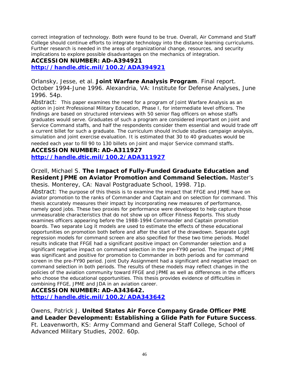correct integration of technology. Both were found to be true. Overall, Air Command and Staff College should continue efforts to integrate technology into the distance learning curriculums. Further research is needed in the areas of organizational change, resources, and security implications to explore possible disadvantages on the mechanics of integration.

### **ACCESSION NUMBER: AD-A394921**

**<http://handle.dtic.mil/100.2/ADA394921>**

Orlansky, Jesse, et al. **Joint Warfare Analysis Program**. Final report. October 1994-June 1996. Alexandria, VA: Institute for Defense Analyses, June 1996. 54p.

Abstract: This paper examines the need for a program of Joint Warfare Analysis as an option in Joint Professional Military Education, Phase I, for intermediate level officers. The findings are based on structured interviews with 50 senior flag officers on whose staffs graduates would serve. Graduates of such a program are considered important on Joint and Service Command staffs, and half the respondents consider them essential and would trade off a current billet for such a graduate. The curriculum should include studies campaign analysis, simulation and joint exercise evaluation. It is estimated that 30 to 40 graduates would be needed each year to fill 90 to 130 billets on Joint and major Service command staffs.

#### **ACCESSION NUMBER: AD-A311927 <http://handle.dtic.mil/100.2/ADA311927>**

#### Orzell, Michael S. **The Impact of Fully-Funded Graduate Education and Resident JPME on Aviator Promotion and Command Selection.** Master's thesis. Monterey, CA: Naval Postgraduate School, 1998. 71p.

Abstract: The purpose of this thesis is to examine the impact that FFGE and JPME have on aviator promotion to the ranks of Commander and Captain and on selection for command. This thesis accurately measures their impact by incorporating new measures of performance, namely good jobs. These two proxies for performance were developed to help capture those unmeasurable characteristics that do not show up on officer Fitness Reports. This study examines officers appearing before the 1988-1994 Commander and Captain promotion boards. Two separate Log it models are used to estimate the effects of these educational opportunities on promotion both before and after the start of the drawdown. Separate Logit regression models for command screen are also specified for these two time periods. Model results indicate that FFGE had a significant positive impact on Commander selection and a significant negative impact on command selection in the pre-FY90 period. The impact of JPME was significant and positive for promotion to Commander in both periods and for command screen in the pre-FY90 period. Joint Duty Assignment had a significant and negative impact on command selection in both periods. The results of these models may reflect changes in the policies of the aviation community toward FFGE and JPME as well as differences in the officers who choose the educational opportunities. This thesis provides evidence of difficulties in combining FFGE, JPME and JDA in an aviation career.

## **ACCESSION NUMBER: AD-A343642.**

**<http://handle.dtic.mil/100.2/ADA343642>**

Owens, Patrick J. **United States Air Force Company Grade Officer PME and Leader Development: Establishing a Glide Path for Future Success**. Ft. Leavenworth, KS: Army Command and General Staff College, School of Advanced Military Studies, 2002. 60p.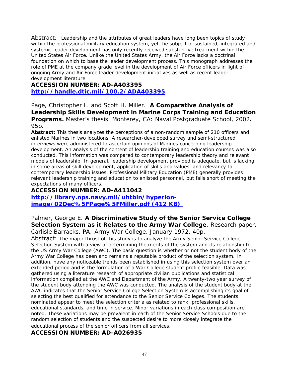Abstract: Leadership and the attributes of great leaders have long been topics of study within the professional military education system, yet the subject of sustained, integrated and systemic leader development has only recently received substantive treatment within the United States Air Force. Unlike the United States Army, the Air Force lacks a doctrinal foundation on which to base the leader development process. This monograph addresses the role of PME at the company grade level in the development of Air Force officers in light of ongoing Army and Air Force leader development initiatives as well as recent leader development literature.

#### **ACCESSION NUMBER: AD-A403395 <http://handle.dtic.mil/100.2/ADA403395>**

Page, Christopher L. and Scott H. Miller. **A Comparative Analysis of Leadership Skills Development in Marine Corps Training and Education Programs.** Master's thesis. Monterey, CA: Naval Postgraduate School, 2002**.**  95p**.** 

**Abstract:** This thesis analyzes the perceptions of a non-random sample of 210 officers and enlisted Marines in two locations. A researcher-developed survey and semi-structured interviews were administered to ascertain opinions of Marines concerning leadership development. An analysis of the content of leadership training and education courses was also conducted. This information was compared to contemporary leadership theory and relevant models of leadership. In general, leadership development provided is adequate, but is lacking in some areas of skill development, application of skills and values, and relevancy to contemporary leadership issues. Professional Military Education (PME) generally provides relevant leadership training and education to enlisted personnel, but falls short of meeting the expectations of many officers.

#### **ACCESSION NUMBER: AD-A411042**

**http://library.nps.navy.mil/uhtbin/hyperionimage/02Dec%5FPage%5FMiller.pdf (412 KB)** 

#### Palmer, George E. **A Discriminative Study of the Senior Service College Selection System as it Relates to the Army War College**. Research paper. Carlisle Barracks, PA: Army War College, January 1972. 40p.

Abstract: The major thrust of this study is to analyze the Army Senior Service College Selection System with a view of determining the merits of the system and its relationship to the US Army War College (AWC). The basic question is whether or not the student body of the Army War College has been and remains a reputable product of the selection system. In addition, have any noticeable trends been established in using this selection system over an extended period and is the formulation of a War College student profile feasible. Data was gathered using a literature research of appropriate civilian publications and statistical information compiled at the AWC and Department of the Army. A twenty-two year survey of the student body attending the AWC was conducted. The analysis of the student body at the AWC indicates that the Senior Service College Selection System is accomplishing its goal of selecting the best qualified for attendance to the Senior Service Colleges. The students nominated appear to meet the selection criteria as related to rank, professional skills, educational standards, and time in service. Minor variations in each class composition are noted. These variations may be prevalent in each of the Senior Service Schools due to the random selection of students and the suspected desire to more closely integrate the educational process of the senior officers from all services.

#### **ACCESSION NUMBER: AD-A026935**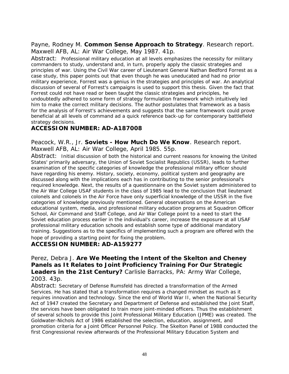#### Payne, Rodney M. **Common Sense Approach to Strategy**. Research report. Maxwell AFB, AL: Air War College, May 1987. 41p.

Abstract: Professional military education at all levels emphasizes the necessity for military commanders to study, understand and, in turn, properly apply the classic strategies and principles of war. Using the Civil War career of Lieutenant General Nathan Bedford Forrest as a case study, this paper points out that even though he was uneducated and had no prior military experience, Forrest was a genius in the strategies and principles of war. An analytical discussion of several of Forrest's campaigns is used to support this thesis. Given the fact that Forrest could not have read or been taught the classic strategies and principles, he undoubtedly adhered to some form of strategy formulation framework which intuitively led him to make the correct military decisions. The author postulates that framework as a basis for the analysis of Forrest's achievements and suggests that the same framework could prove beneficial at all levels of command ad a quick reference back-up for contemporary battlefield strategy decisions.

#### **ACCESSION NUMBER: AD-A187008**

Peacock, W.R., Jr. **Soviets - How Much Do We Know**. Research report. Maxwell AFB, AL: Air War College, April 1985. 55p.

Abstract: Initial discussion of both the historical and current reasons for knowing the United States' primarily adversary, the Union of Soviet Socialist Republics (USSR), leads to further examination of the specific categories of knowledge the professional military officer should have regarding his enemy. History, society, economy, political system and geography are discussed along with the implications each has in contributing to the senior professional's required knowledge. Next, the results of a questionnaire on the Soviet system administered to the Air War College USAF students in the class of 1985 lead to the conclusion that lieutenant colonels and colonels in the Air Force have only superficial knowledge of the USSR in the five categories of knowledge previously mentioned. General observations on the American educational system, media, and professional military education programs at Squadron Officer School, Air Command and Staff College, and Air War College point to a need to start the Soviet education process earlier in the individual's career, increase the exposure at all USAF professional military education schools and establish some type of additional mandatory training. Suggestions as to the specifics of implementing such a program are offered with the hope of providing a starting point for fixing the problem.

#### **ACCESSION NUMBER: AD-A159277**

Perez, Debra J. **Are We Meeting the Intent of the Skelton and Cheney Panels as It Relates to Joint Proficiency Training For Our Strategic Leaders in the 21st Century?** Carlisle Barracks, PA: Army War College, 2003. 43p.

Abstract: Secretary of Defense Rumsfeld has directed a transformation of the Armed Services. He has stated that a transformation requires a changed mindset as much as it requires innovation and technology. Since the end of World War II, when the National Security Act of 1947 created the Secretary and Department of Defense and established the Joint Staff, the services have been obligated to train more joint-minded officers. Thus the establishment of several schools to provide this Joint Professional Military Education (JPME) was created. The Goldwater-Nichols Act of 1986 established the selection, education, assignment, and promotion criteria for a Joint Officer Personnel Policy. The Skelton Panel of 1988 conducted the first Congressional review afterwards of the Professional Military Education System and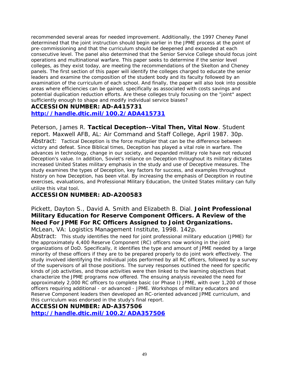recommended several areas for needed improvement. Additionally, the 1997 Cheney Panel determined that the joint instruction should begin earlier in the JPME process at the point of pre-commissioning and that the curriculum should be deepened and expanded at each consecutive level. The panel also determined that the Senior Service College should focus joint operations and multinational warfare. This paper seeks to determine if the senior level colleges, as they exist today, are meeting the recommendations of the Skelton and Cheney panels. The first section of this paper will identify the colleges charged to educate the senior leaders and examine the composition of the student body and its faculty followed by an examination of the curriculum of each school. And finally, the paper will also look into possible areas where efficiencies can be gained, specifically as associated with costs savings and potential duplication reduction efforts. Are these colleges truly focusing on the "joint" aspect sufficiently enough to shape and modify individual service biases?

#### **ACCESSION NUMBER: AD-A415731**

#### **<http://handle.dtic.mil/100.2/ADA415731>**

Peterson, James R. **Tactical Deception--Vital Then, Vital Now**. Student report. Maxwell AFB, AL: Air Command and Staff College, April 1987. 30p. Abstract: Tactical Deception is the force multiplier that can be the difference between victory and defeat. Since Biblical times, Deception has played a vital role in warfare. The advances in technology, change in our society, and expanded military role have not reduced Deception's value. In addition, Soviet's reliance on Deception throughout its military dictates increased United States military emphasis in the study and use of Deceptive measures. The study examines the types of Deception, key factors for success, and examples throughout history on how Deception, has been vital. By increasing the emphasis of Deception in routine exercises, evaluations, and Professional Military Education, the United States military can fully utilize this vital tool.

#### **ACCESSION NUMBER: AD-A200583**

### Pickett, Dayton S., David A. Smith and Elizabeth B. Dial. **Joint Professional Military Education for Reserve Component Officers. A Review of the Need For JPME For RC Officers Assigned to Joint Organizations.**

McLean, VA: Logistics Management Institute, 1998. 142p.

Abstract: This study identifies the need for joint professional military education (JPME) for the approximately 4,400 Reserve Component (RC) officers now working in the joint organizations of DoD. Specifically, it identifies the type and amount of JPME needed by a large minority of these officers if they are to be prepared properly to do joint work effectively. The study involved identifying the individual jobs performed by all RC officers, followed by a survey of the supervisors of all those positions. The survey responses outlined the need for specific kinds of job activities, and those activities were then linked to the learning objectives that characterize the JPME programs now offered. The ensuing analysis revealed the need for approximately 2,000 RC officers to complete basic (or Phase I) JPME, with over 1,200 of those officers requiring additional - or advanced - JPME. Workshops of military educators and Reserve Component leaders then developed an RC-oriented advanced JPME curriculum, and this curriculum was endorsed in the study's final report.

#### **ACCESSION NUMBER: AD-A357506**

**<http://handle.dtic.mil/100.2/ADA357506>**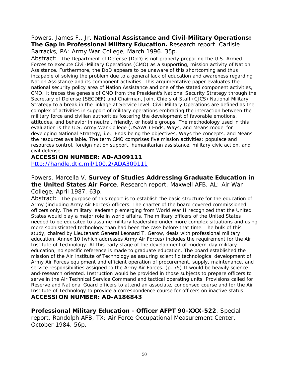## Powers, James F., Jr. **National Assistance and Civil-Military Operations: The Gap in Professional Military Education.** Research report. Carlisle

Barracks, PA: Army War College, March 1996. 35p.

Abstract: The Department of Defense (DoD) is not properly preparing the U.S. Armed Forces to execute Civil-Military Operations (CMO) as a supporting, mission activity of Nation Assistance. Furthermore, the DoD appears to be unaware of this shortcoming and thus incapable of solving the problem due to a general lack of education and awareness regarding Nation Assistance and its component activities. This argumentative paper evaluates the national security policy area of Nation Assistance and one of the stated component activities, CMO. It traces the genesis of CMO from the President's National Security Strategy through the Secretary of Defense (SECDEF) and Chairman, Joint Chiefs of Staff (CJCS) National Military Strategy to a break in the linkage at Service level. Civil-Military Operations are defined as the complex of activities in support of military operations embracing the interaction between the military force and civilian authorities fostering the development of favorable emotions, attitudes, and behavior in neutral, friendly, or hostile groups. The methodology used in this evaluation is the U.S. Army War College (USAWC) Ends, Ways, and Means model for developing National Strategy; i.e., Ends being the objectives, Ways the concepts, and Means the resources available. The term CMO comprises five mission activities: populace and resources control, foreign nation support, humanitarian assistance, military civic action, and civil defense.

#### **ACCESSION NUMBER: AD-A309111**

<http://handle.dtic.mil/100.2/ADA309111>

Powers, Marcella V. **Survey of Studies Addressing Graduate Education in the United States Air Force**. Research report. Maxwell AFB, AL: Air War College, April 1987. 63p.

Abstract: The purpose of this report is to establish the basic structure for the education of Army (including Army Air Forces) officers. The charter of the board covered commissioned officers only. The military leadership emerging from World War II recognized that the United States would play a major role in world affairs. The military officers of the United States needed to be educated to assume military leadership under more complex situations and using more sophisticated technology than had been the case before that time. The bulk of this study, chaired by Lieutenant General Leonard T. Gerow, deals with professional military education. Annex 10 (which addresses Army Air Forces) includes the requirement for the Air Institute of Technology. At this early stage of the development of modern-day military education, no specific reference is made to graduate education. The board established the mission of the Air Institute of Technology as assuring scientific technological development of Army Air Forces equipment and efficient operation of procurement, supply, maintenance, and service responsibilities assigned to the Army Air Forces. (p. 75) It would be heavily scienceand-research oriented. Instruction would be provided in those subjects to prepare officers to serve in the Air Technical Service Command and tactical operating units. Provisions called for Reserve and National Guard officers to attend an associate, condensed course and for the Air Institute of Technology to provide a correspondence course for officers on inactive status. **ACCESSION NUMBER: AD-A186843** 

**Professional Military Education - Officer AFPT 90-XXX-522**. Special report. Randolph AFB, TX: Air Force Occupational Measurement Center, October 1984. 56p.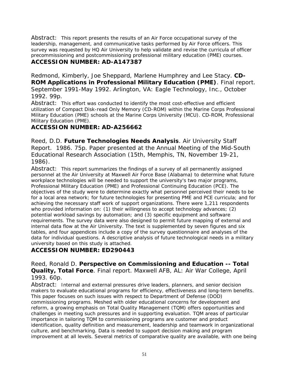Abstract: This report presents the results of an Air Force occupational survey of the leadership, management, and communicative tasks performed by Air Force officers. This survey was requested by HQ Air University to help validate and revise the curricula of officer precommissioning and postcommissioning professional military education (PME) courses. **ACCESSION NUMBER: AD-A147387** 

Redmond, Kimberly, Joe Sheppard, Marlene Humphrey and Lee Stacy. **CD-ROM Applications in Professional Military Education (PME)**. Final report. September 1991-May 1992. Arlington, VA: Eagle Technology, Inc., October 1992. 99p.

Abstract: This effort was conducted to identify the most cost-effective and efficient utilization of Compact Disk-read Only Memory (CD-ROM) within the Marine Corps Professional Military Education (PME) schools at the Marine Corps University (MCU). CD-ROM, Professional Military Education (PME).

#### **ACCESSION NUMBER: AD-A256662**

Reed, D.D. **Future Technologies Needs Analysis**. Air University Staff Report. 1986. 75p. Paper presented at the Annual Meeting of the Mid-South Educational Research Association (15th, Memphis, TN, November 19-21, 1986).

Abstract: This report summarizes the findings of a survey of all permanently assigned personnel at the Air University at Maxwell Air Force Base (Alabama) to determine what future workplace technologies will be needed to support the university's two major programs, Professional Military Education (PME) and Professional Continuing Education (PCE). The objectives of the study were to determine exactly what personnel perceived their needs to be for a local area network; for future technologies for presenting PME and PCE curricula; and for achieving the necessary staff work of support organizations. There were 1,211 respondents who provided information on: (1) their willingness to accept technology advances; (2) potential workload savings by automation; and (3) specific equipment and software requirements. The survey data were also designed to permit future mapping of external and internal data flow at the Air University. The text is supplemented by seven figures and six tables, and four appendices include a copy of the survey questionnaire and analyses of the data for individual questions. A descriptive analysis of future technological needs in a military university based on this study is attached.

### **ACCESSION NUMBER: ED290443**

Reed, Ronald D. **Perspective on Commissioning and Education -- Total Quality, Total Force**. Final report. Maxwell AFB, AL: Air War College, April 1993. 60p.

Abstract: Internal and external pressures drive leaders, planners, and senior decision makers to evaluate educational programs for efficiency, effectiveness and long-term benefits. This paper focuses on such issues with respect to Department of Defense (DOD) commissioning programs. Meshed with older educational concerns for development and reform, a growing emphasis on Total Quality Management (TQM) offers opportunities and challenges in meeting such pressures and in supporting evaluation. TQM areas of particular importance in tailoring TQM to commissioning programs are customer and product identification, quality definition and measurement, leadership and teamwork in organizational culture, and benchmarking. Data is needed to support decision making and program improvement at all levels. Several metrics of comparative quality are available, with one being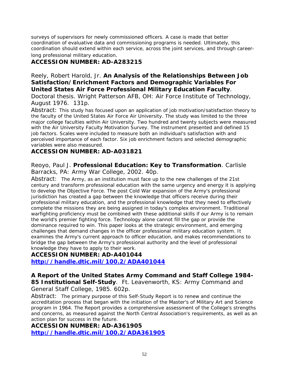surveys of supervisors for newly commissioned officers. A case is made that better coordination of evaluative data and commissioning programs is needed. Ultimately, this coordination should extend within each service, across the joint services, and through careerlong professional military education.

#### **ACCESSION NUMBER: AD-A283215**

#### Reely, Robert Harold, Jr. **An Analysis of the Relationships Between Job Satisfaction/Enrichment Factors and Demographic Variables For United States Air Force Professional Military Education Faculty**.

Doctoral thesis. Wright Patterson AFB, OH: Air Force Institute of Technology, August 1976. 131p.

Abstract: This study has focused upon an application of job motivation/satisfaction theory to the faculty of the United States Air Force Air University. The study was limited to the three major college faculties within Air University. Two hundred and twenty subjects were measured with the Air University Faculty Motivation Survey. The instrument presented and defined 15 job factors. Scales were included to measure both an individual's satisfaction with and perceived importance of each factor. Six job enrichment factors and selected demographic variables were also measured.

#### **ACCESSION NUMBER: AD-A031821**

#### Reoyo, Paul J. **Professional Education: Key to Transformation**. Carlisle Barracks, PA: Army War College, 2002. 40p.

Abstract: The Army, as an institution must face up to the new challenges of the 21st century and transform professional education with the same urgency and energy it is applying to develop the Objective Force. The post Cold War expansion of the Army's professional jurisdiction has created a gap between the knowledge that officers receive during their professional military education, and the professional knowledge that they need to effectively complete the missions they are being assigned in today's complex environment. Traditional warfighting proficiency must be combined with these additional skills if our Army is to remain the world's premier fighting force. Technology alone cannot fill the gap or provide the dominance required to win. This paper looks at the strategic environment, and emerging challenges that demand changes in the officer professional military education system. It examines the Army's current approach to officer education, and makes recommendations to bridge the gap between the Army's professional authority and the level of professional knowledge they have to apply to their work.

#### **ACCESSION NUMBER: AD-A401044 <http://handle.dtic.mil/100.2/ADA401044>**

**A Report of the United States Army Command and Staff College 1984- 85 Institutional Self-Study**. Ft. Leavenworth, KS: Army Command and General Staff College, 1985. 602p.

Abstract: The primary purpose of this Self-Study Report is to renew and continue the accreditation process that began with the initiation of the Master's of Military Art and Science program in 1964. The Report provides a comprehensive assessment of the College's strengths and concerns, as measured against the North Central Association's requirements, as well as an action plan for success in the future.

**ACCESSION NUMBER: AD-A361905 <http://handle.dtic.mil/100.2/ADA361905>**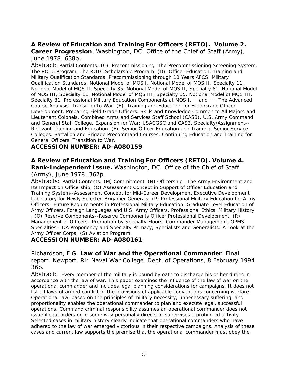#### **A Review of Education and Training For Officers (RETO). Volume 2. Career Progression**. Washington, DC: Office of the Chief of Staff (Army), June 1978. 638p.

Abstract: Partial Contents: (C). Precommissioning. The Precommissioning Screening System. The ROTC Program. The ROTC Scholarship Program. (D). Officer Education, Training and Military Qualification Standards, Precommissioning through 10 Years AFCS. Military Qualification Standards. Notional Model of MQS I. Notional Model of MQS II, Specialty 11. Notional Model of MQS II, Specialty 35. Notional Model of MQS II, Specialty 81. Notional Model of MQS III, Specialty 11. Notional Model of MQS III, Specialty 35. Notional Model of MQS III, Specialty 81. Professional Military Education Components at MQS I, II and III. The Advanced Course Analysis. Transition to War. (E). Training and Education for Field Grade Officer Development. Preparing Field Grade Officers. Skills and Knowledge Common to All Majors and Lieutenant Colonels. Combined Arms and Services Staff School (CAS3). U.S. Army Command and General Staff College. Expansion for War: USACGSC and CAS3. Specialty/Assignment-- Relevant Training and Education. (F). Senior Officer Education and Training. Senior Service Colleges. Battalion and Brigade Precommand Courses. Continuing Education and Training for General Officers. Transition to War.

#### **ACCESSION NUMBER: AD-A080159**

#### **A Review of Education and Training For Officers (RETO). Volume 4. Rank-Independent Issue.** Washington, DC: Office of the Chief of Staff

#### (Army), June 1978. 367p.

Abstracts: Partial Contents: (M) Commitment, (N) Officership—The Army Environment and Its Impact on Officership, (O) Assessment Concept in Support of Officer Education and Training System--Assessment Concept for Mid-Career Development Executive Development Laboratory for Newly Selected Brigadier Generals; (P) Professional Military Education for Army Officers--Future Requirements in Professional Military Education, Graduate Level Education of Army Officers, Foreign Languages and U.S. Army Officers, Professional Ethics, Military History , (Q) Reserve Components--Reserve Components Officer Professional Development, (R) Management of Officers--Promotion by Specialty Floors, Commander Management, OPMS Specialties - DA Proponency and Specialty Primacy, Specialists and Generalists: A Look at the Army Officer Corps; (S) Aviation Program.

#### **ACCESSION NUMBER: AD-A080161**

Richardson, F.G. **Law of War and the Operational Commander**. Final report. Newport, RI: Naval War College, Dept. of Operations, 8 February 1994. 36p.

Abstract: Every member of the military is bound by oath to discharge his or her duties in accordance with the law of war. This paper examines the influence of the law of war on the operational commander and includes legal planning considerations for campaigns. It does not list all laws of armed conflict or the provisions of applicable conventions concerning warfare. Operational law, based on the principles of military necessity, unnecessary suffering, and proportionality enables the operational commander to plan and execute legal, successful operations. Command criminal responsibility assumes an operational commander does not issue illegal orders or in some way personally directs or supervises a prohibited activity. Selected cases in military history clearly indicate that operational commanders who have adhered to the law of war emerged victorious in their respective campaigns. Analysis of these cases and current law supports the premise that the operational commander must obey the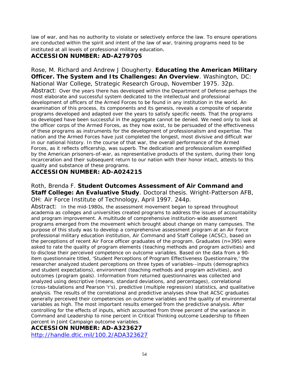law of war, and has no authority to violate or selectively enforce the law. To ensure operations are conducted within the spirit and intent of the law of war, training programs need to be instituted at all levels of professional military education.

#### **ACCESSION NUMBER: AD-A279705**

Rose, M. Richard and Andrew J Dougherty. **Educating the American Military Officer. The System and Its Challenges: An Overview**. Washington, DC: National War College, Strategic Research Group, November 1975. 32p. Abstract: Over the years there has developed within the Department of Defense perhaps the most elaborate and successful system dedicated to the intellectual and professional development of officers of the Armed Forces to be found in any institution in the world. An examination of this process, its components and its genesis, reveals a composite of separate programs developed and adapted over the years to satisfy specific needs. That the programs so developed have been successful in the aggregate cannot be denied. We need only to look at the officer corps of the Armed Forces, as they now exist, to be persuaded of the effectiveness of these programs as instruments for the development of professionalism and expertise. The nation and the Armed Forces have just completed the longest, most divisive and difficult war in our national history. In the course of that war, the overall performance of the Armed Forces, as it reflects officership, was superb. The dedication and professionalism exemplified by the American prisoners-of-war, as representative products of the system, during their long incarceration and their subsequent return to our nation with their honor intact, attests to this quality and substance of these programs.

#### **ACCESSION NUMBER: AD-A024215**

Roth, Brenda F. **Student Outcomes Assessment of Air Command and Staff College: An Evaluative Study**. Doctoral thesis. Wright-Patterson AFB, OH: Air Force Institute of Technology, April 1997. 244p.

Abstract: In the mid-1980s, the assessment movement began to spread throughout academia as colleges and universities created programs to address the issues of accountability and program improvement. A multitude of comprehensive institution-wide assessment programs emerged from the movement which brought about change on many campuses. The purpose of this study was to develop a comprehensive assessment program at an Air Force professional military education institution, Air Command and Staff College (ACSC), based on the perceptions of recent Air Force officer graduates of the program. Graduates (n=395) were asked to rate the quality of program elements (teaching methods and program activities) and to disclose their perceived competence on outcome variables. Based on the data from a 90 item questionnaire titled, 'Student Perceptions of Program Effectiveness Questionnaire,' the researcher analyzed student perceptions on three types of variables--inputs (demographics and student expectations), environment (teaching methods and program activities), and outcomes (program goals). Information from returned questionnaires was collected and analyzed using descriptive (means, standard deviations, and percentages), correlational (cross-tabulations and Pearson 'r's), predictive (multiple regression) statistics, and qualitative analysis. The results of the correlational and predictive analyses show that ACSC graduates generally perceived their competencies on outcome variables and the quality of environmental variables as high. The most important results emerged from the predictive analysis. After controlling for the effects of inputs, which accounted from three percent of the variance in Command and Leadership to nine percent in Critical Thinking outcome Leadership to fifteen percent in Joint Campaign outcome variables.

#### **ACCESSION NUMBER: AD-A323627**

<http://handle.dtic.mil/100.2/ADA323627>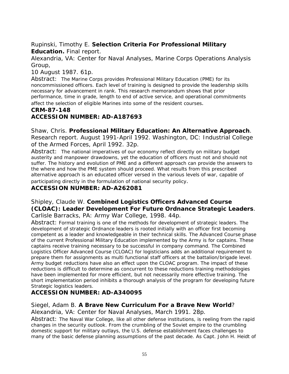#### Rupinski, Timothy E. **Selection Criteria For Professional Military Education.** Final report.

Alexandria, VA: Center for Naval Analyses, Marine Corps Operations Analysis Group,

10 August 1987. 61p.

Abstract: The Marine Corps provides Professional Military Education (PME) for its noncommissioned officers. Each level of training is designed to provide the leadership skills necessary for advancement in rank. This research memorandum shows that prior performance, time in grade, length to end of active service, and operational commitments affect the selection of eligible Marines into some of the resident courses.

#### **CRM-87-148 ACCESSION NUMBER: AD-A187693**

Shaw, Chris. **Professional Military Education: An Alternative Approach**. Research report. August 1991-April 1992. Washington, DC: Industrial College of the Armed Forces, April 1992. 32p.

Abstract: The national imperatives of our economy reflect directly on military budget austerity and manpower drawdowns, yet the education of officers must not and should not suffer. The history and evolution of PME and a different approach can provide the answers to the where and how the PME system should proceed. What results from this prescribed alternative approach is an educated officer versed in the various levels of war, capable of participating directly in the formulation of national security policy.

#### **ACCESSION NUMBER: AD-A262081**

#### Shipley, Claude W. **Combined Logistics Officers Advanced Course (CLOAC): Leader Development For Future Ordnance Strategic Leaders**. Carlisle Barracks, PA: Army War College, 1998. 44p.

Abstract: Formal training is one of the methods for development of strategic leaders. The development of strategic Ordnance leaders is rooted initially with an officer first becoming competent as a leader and knowledgeable in their technical skills. The Advanced Course phase of the current Professional Military Education implemented by the Army is for captains. These captains receive training necessary to be successful in company command. The Combined Logistics Officer Advanced Course (CLOAC) for logisticians adds an additional requirement to prepare them for assignments as multi functional staff officers at the battalion/brigade level. Army budget reductions have also an effect upon the CLOAC program. The impact of these reductions is difficult to determine as concurrent to these reductions training methodologies have been implemented for more efficient, but not necessarily more effective training. The short implementation period inhibits a thorough analysis of the program for developing future Strategic logistics leaders.

#### **ACCESSION NUMBER: AD-A340095**

#### Siegel, Adam B. **A Brave New Curriculum For a Brave New World**?

Alexandria, VA: Center for Naval Analyses, March 1991. 28p.

Abstract: The Naval War College, like all other defense institutions, is reeling from the rapid changes in the security outlook. From the crumbling of the Soviet empire to the crumbling domestic support for military outlays, the U.S. defense establishment faces challenges to many of the basic defense planning assumptions of the past decade. As Capt. John H. Heidt of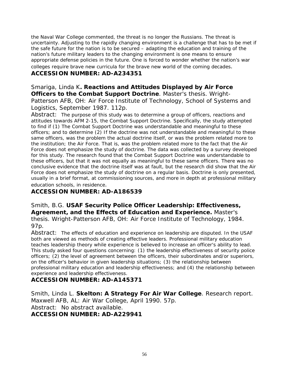the Naval War College commented, the threat is no longer the Russians. The threat is uncertainty. Adjusting to the rapidly changing environment is a challenge that has to be met if the safe future for the nation is to be secured – adapting the education and training of the nation's future military leaders to the changing environment is one means to ensure appropriate defense policies in the future. One is forced to wonder whether the nation's war colleges require brave new curricula for the brave new world of the coming decades.

#### **ACCESSION NUMBER: AD-A234351**

Smariga, Linda K**. Reactions and Attitudes Displayed by Air Force Officers to the Combat Support Doctrine**. Master's thesis. Wright-Patterson AFB, OH: Air Force Institute of Technology, School of Systems and Logistics, September 1987. 112p.

Abstract: The purpose of this study was to determine a group of officers, reactions and attitudes towards AFM 2-15, the Combat Support Doctrine. Specifically, the study attempted to find if (1) The Combat Support Doctrine was understandable and meaningful to these officers; and to determine (2) If the doctrine was not understandable and meaningful to these same officers, was the problem the actual doctrine itself, or was the problem related more to the institution; the Air Force. That is, was the problem related more to the fact that the Air Force does not emphasize the study of doctrine. The data was collected by a survey developed for this study. The research found that the Combat Support Doctrine was understandable to these officers, but that it was not equally as meaningful to these same officers. There was no conclusive evidence that the doctrine itself was at fault, but the research did show that the Air Force does not emphasize the study of doctrine on a regular basis. Doctrine is only presented, usually in a brief format, at commissioning sources, and more in depth at professional military education schools, in residence.

#### **ACCESSION NUMBER: AD-A186539**

Smith, B.G. **USAF Security Police Officer Leadership: Effectiveness, Agreement, and the Effects of Education and Experience.** Master's thesis. Wright-Patterson AFB, OH: Air Force Institute of Technology, 1984. 97p.

Abstract: The effects of education and experience on leadership are disputed. In the USAF both are viewed as methods of creating effective leaders. Professional military education teaches leadership theory while experience is believed to increase an officer's ability to lead. This study asked four questions concerning: (1) the leadership effectiveness of security police officers; (2) the level of agreement between the officers, their subordinates and/or superiors, on the officer's behavior in given leadership situations; (3) the relationship between professional military education and leadership effectiveness; and (4) the relationship between experience and leadership effectiveness.

#### **ACCESSION NUMBER: AD-A145371**

Smith, Linda L. **Skelton: A Strategy For Air War College**. Research report. Maxwell AFB, AL: Air War College, April 1990. 57p. Abstract: No abstract available. **ACCESSION NUMBER: AD-A229941**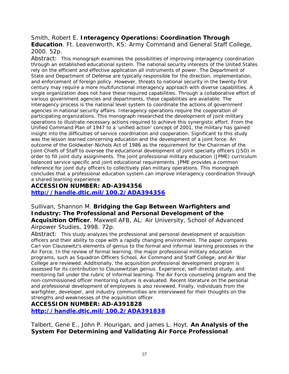#### Smith, Robert E. **Interagency Operations: Coordination Through**

**Education**. Ft. Leavenworth, KS: Army Command and General Staff College, 2000. 52p.

Abstract: This monograph examines the possibilities of improving interagency coordination through an established educational system. The national security interests of the United States rely on the efficient and effective application all instruments of power. The Department of State and Department of Defense are typically responsible for the direction, implementation, and enforcement of foreign policy. However, threats to national security in the twenty-first century may require a more multifunctional interagency approach with diverse capabilities. A single organization does not have these required capabilities. Through a collaborative effort of various government agencies and departments, these capabilities are available. The interagency process is the national level system to coordinate the actions of government agencies in national security affairs. Interagency operations require the cooperation of participating organizations. This monograph researched the development of joint military operations to illustrate necessary actions required to achieve this synergistic effort. From the Unified Command Plan of 1947 to a 'unified action' concept of 2001, the military has gained insight into the difficulties of service coordination and cooperation. Significant to this study was the lesson learned concerning education and the development of a joint force. An outcome of the Goldwater-Nichols Act of 1986 as the requirement for the Chairman of the Joint Chiefs of Staff to oversee the educational development of joint specialty officers (JSO) in order to fill joint duty assignments. The joint professional military education (JPME) curriculum balanced service specific and joint educational requirements. JPME provides a common reference for joint duty officers to collectively plan military operations. This monograph concludes that a professional education system can improve interagency coordination through a shared learning experience.

### **ACCESSION NUMBER: AD-A394356 <http://handle.dtic.mil/100.2/ADA394356>**

Sullivan, Shannon M. **Bridging the Gap Between Warfighters and Industry: The Professional and Personal Development of the Acquisition Officer**. Maxwell AFB, AL: Air University, School of Advanced Airpower Studies, 1998. 72p.

Abstract: This study analyzes the professional and personal development of acquisition officers and their ability to cope with a rapidly changing environment. The paper compares Carl von Clausewitz's elements of genius to the formal and informal learning processes in the Air Force. In the review of formal learning, the major professional military education programs, such as Squadron Officers School, Air Command and Staff College, and Air War College are reviewed. Additionally, the acquisition professional development program is assessed for its contribution to Clausewitzian genius. Experience, self-directed study, and mentoring fall under the rubric of informal learning. The Air Force counseling program and the non-commissioned officer mentoring culture is evaluated. Recent literature on the personal and professional development of employees is also reviewed. Finally, individuals from the warfighter, developer, and industry communities are interviewed for their thoughts on the strengths and weaknesses of the acquisition officer.

**ACCESSION NUMBER: AD-A391828 <http://handle.dtic.mil/100.2/ADA391838>**

Talbert, Gene E., John P. Hourigan, and James L. Hoyt. **An Analysis of the System For Determining and Validating Air Force Professional**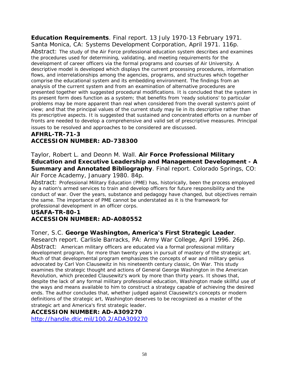**Education Requirements**. Final report. 13 July 1970-13 February 1971. Santa Monica, CA: Systems Development Corporation, April 1971. 116p.

Abstract: The study of the Air Force professional education system describes and examines the procedures used for determining, validating, and meeting requirements for the development of career officers via the formal programs and courses of Air University. A descriptive model is developed which displays the current processing procedures, information flows, and interrelationships among the agencies, programs, and structures which together comprise the educational system and its embedding environment. The findings from an analysis of the current system and from an examination of alternative procedures are presented together with suggested procedural modifications. It is concluded that the system in its present form does function as a system; that benefits from 'ready solutions' to particular problems may be more apparent than real when considered from the overall system's point of view; and that the principal values of the current study may lie in its descriptive rather than its prescriptive aspects. It is suggested that sustained and concentrated efforts on a number of fronts are needed to develop a comprehensive and valid set of prescriptive measures. Principal issues to be resolved and approaches to be considered are discussed.

#### **AFHRL-TR-71-3 ACCESSION NUMBER: AD-738300**

Taylor, Robert L. and Deonn M. Wall. **Air Force Professional Military Education and Executive Leadership and Management Development - A Summary and Annotated Bibliography**. Final report. Colorado Springs, CO: Air Force Academy, January 1980. 84p.

Abstract: Professional Military Education (PME) has, historically, been the process employed by a nation's armed services to train and develop officers for future responsibility and the conduct of war. Over the years, substance and pedagogy have changed, but objectives remain the same. The importance of PME cannot be understated as it is the framework for professional development in an officer corps.

#### **USAFA-TR-80-1 ACCESSION NUMBER: AD-A080552**

#### Toner, S.C. **George Washington, America's First Strategic Leader**.

Research report. Carlisle Barracks, PA: Army War College, April 1996. 26p. Abstract: American military officers are educated via a formal professional military development program, for more than twenty years in pursuit of mastery of the strategic art. Much of that developmental program emphasizes the concepts of war and military genius advocated by Carl Von Clausewitz in his nineteenth century classic, On War. This study examines the strategic thought and actions of General George Washington in the American Revolution, which preceded Clausewitz's work by more than thirty years. It shows that, despite the lack of any formal military professional education, Washington made skillful use of the ways and means available to him to construct a strategy capable of achieving the desired ends. The author concludes that, whether judged against Clausewitz's concepts or modern definitions of the strategic art, Washington deserves to be recognized as a master of the strategic art and America's first strategic leader.

#### **ACCESSION NUMBER: AD-A309270**

<http://handle.dtic.mil/100.2/ADA309270>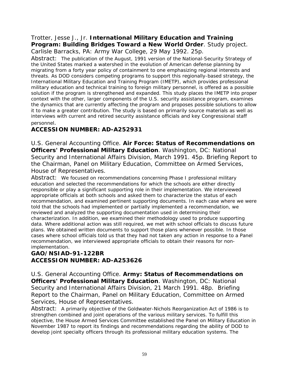#### Trotter, Jesse J., Jr. **International Military Education and Training Program: Building Bridges Toward a New World Order**. Study project. Carlisle Barracks, PA: Army War College, 29 May 1992. 25p.

Abstract: The publication of the August, 1991 version of the National-Security Strategy of the United States marked a watershed in the evolution of American defense planning by migrating from a forty year policy of containment to one emphasizing regional interests and threats. As DOD considers competing programs to support this regionally-based strategy, the International Military Education and Training Program (IMETP), which provides professional military education and technical training to foreign military personnel, is offered as a possible solution if the program is strengthened and expanded. This study places the IMETP into proper context with the other, larger components of the U.S. security assistance program, examines the dynamics that are currently affecting the program and proposes possible solutions to allow it to make a greater contribution. The study is based on primarily source materials as well as interviews with current and retired security assistance officials and key Congressional staff personnel.

### **ACCESSION NUMBER: AD-A252931**

U.S. General Accounting Office. **Air Force: Status of Recommendations on Officers' Professional Military Education**. Washington, DC: National Security and International Affairs Division, March 1991. 45p. Briefing Report to the Chairman, Panel on Military Education, Committee on Armed Services, House of Representatives.

Abstract: We focused on recommendations concerning Phase I professional military education and selected the recommendations for which the schools are either directly responsible or play a significant supporting role in their implementation. We interviewed appropriate officials at both schools and asked them to characterize the status of each recommendation, and examined pertinent supporting documents. In each case where we were told that the schools had implemented or partially implemented a recommendation, we reviewed and analyzed the supporting documentation used in determining their characterization. In addition, we examined their methodology used to produce supporting data. Where additional action was still required, we met with school officials to discuss future plans. We obtained written documents to support those plans whenever possible. In those cases where school officials told us that they had not taken any action in response to a Panel recommendation, we interviewed appropriate officials to obtain their reasons for nonimplementation.

### **GAO/NSIAD-91-122BR ACCESSION NUMBER: AD-A253626**

U.S. General Accounting Office. **Army: Status of Recommendations on Officers' Professional Military Education**. Washington, DC: National Security and International Affairs Division, 21 March 1991. 48p. Briefing Report to the Chairman, Panel on Military Education, Committee on Armed Services, House of Representatives.

Abstract: A primarily objective of the Goldwater-Nichols Reorganization Act of 1986 is to strengthen combined and joint operations of the various military services. To fulfill this objective, the House Armed Services Committee established the Panel on Military Education in November 1987 to report its findings and recommendations regarding the ability of DOD to develop joint specialty officers through its professional military education systems. The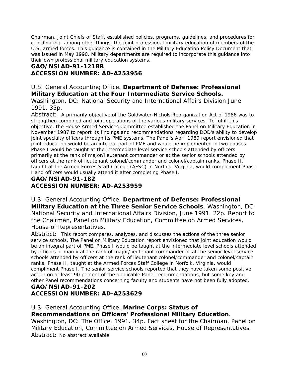Chairman, Joint Chiefs of Staff, established policies, programs, guidelines, and procedures for coordinating, among other things, the joint professional military education of members of the U.S. armed forces. This guidance is contained in the Military Education Policy Document that was issued in May 1990. Military departments are required to incorporate this guidance into their own professional military education systems.

#### **GAO/NSIAD-91-121BR**

#### **ACCESSION NUMBER: AD-A253956**

#### U.S. General Accounting Office. **Department of Defense: Professional Military Education at the Four Intermediate Service Schools.**

Washington, DC: National Security and International Affairs Division June 1991. 35p.

Abstract: A primarily objective of the Goldwater-Nichols Reorganization Act of 1986 was to strengthen combined and joint operations of the various military services. To fulfill this objective, the House Armed Services Committee established the Panel on Military Education in November 1987 to report its findings and recommendations regarding DOD's ability to develop joint specialty officers through its PME systems. The Panel's April 1989 report envisioned that joint education would be an integral part of PME and would be implemented in two phases. Phase I would be taught at the intermediate level service schools attended by officers primarily at the rank of major/lieutenant commander or at the senior schools attended by officers at the rank of lieutenant colonel/commander and colonel/captain ranks. Phase II, taught at the Armed Forces Staff College (AFSC) in Norfolk, Virginia, would complement Phase I and officers would usually attend it after completing Phase I.

### **GAO/NSIAD-91-182 ACCESSION NUMBER: AD-A253959**

U.S. General Accounting Office. **Department of Defense: Professional Military Education at the Three Senior Service Schools**. Washington, DC: National Security and International Affairs Division, June 1991. 22p. Report to the Chairman, Panel on Military Education, Committee on Armed Services, House of Representatives.

Abstract: This report compares, analyzes, and discusses the actions of the three senior service schools. The Panel on Military Education report envisioned that joint education would be an integral part of PME. Phase I would be taught at the intermediate level schools attended by officers primarily at the rank of major/lieutenant commander or at the senior level service schools attended by officers at the rank of lieutenant colonel/commander and colonel/captain ranks. Phase II, taught at the Armed Forces Staff College in Norfolk, Virginia, would compliment Phase I. The senior service schools reported that they have taken some positive action on at least 90 percent of the applicable Panel recommendations, but some key and other Panel recommendations concerning faculty and students have not been fully adopted. **GAO/NSIAD-91-202** 

## **ACCESSION NUMBER: AD-A253629**

#### U.S. General Accounting Office. **Marine Corps: Status of Recommendations on Officers' Professional Military Education**.

Washington, DC: The Office, 1991. 34p. Fact sheet for the Chairman, Panel on Military Education, Committee on Armed Services, House of Representatives. Abstract: No abstract available.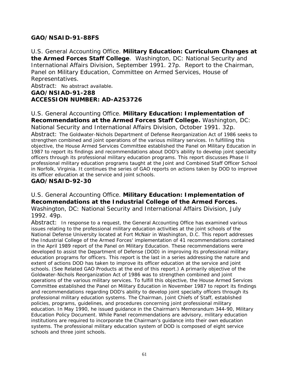### **GAO/NSAID-91-88FS**

U.S. General Accounting Office. **Military Education: Curriculum Changes at the Armed Forces Staff College**. Washington, DC: National Security and International Affairs Division, September 1991. 27p. Report to the Chairman, Panel on Military Education, Committee on Armed Services, House of Representatives.

Abstract: No abstract available.

**GAO/NSIAD-91-288 ACCESSION NUMBER: AD-A253726**

#### U.S. General Accounting Office. **Military Education: Implementation of Recommendations at the Armed Forces Staff College.** Washington, DC:

National Security and International Affairs Division, October 1991. 32p. Abstract: The Goldwater-Nichols Department of Defense Reorganization Act of 1986 seeks to strengthen combined and joint operations of the various military services. In fulfilling this objective, the House Armed Services Committee established the Panel on Military Education in 1987 to report its findings and recommendations about DOD's ability to develop joint specialty officers through its professional military education programs. This report discusses Phase II professional military education programs taught at the Joint and Combined Staff Officer School in Norfolk, Virginia. It continues the series of GAO reports on actions taken by DOD to improve its officer education at the service and joint schools.

#### **GAO/NSAID-92-30**

#### U.S. General Accounting Office. **Military Education: Implementation of Recommendations at the Industrial College of the Armed Forces.**

Washington, DC: National Security and International Affairs Division, July 1992. 49p.

Abstract: In response to a request, the General Accounting Office has examined various issues relating to the professional military education activities at the joint schools of the National Defense University located at Fort McNair in Washington, D.C. This report addresses the Industrial College of the Armed Forces' implementation of 41 recommendations contained in the April 1989 report of the Panel on Military Education. These recommendations were developed to assist the Department of Defense (DOD) in improving its professional military education programs for officers. This report is the last in a series addressing the nature and extent of actions DOD has taken to improve its officer education at the service and joint schools. (See Related GAO Products at the end of this report.) A primarily objective of the Goldwater-Nichols Reorganization Act of 1986 was to strengthen combined and joint operations of the various military services. To fulfill this objective, the House Armed Services Committee established the Panel on Military Education in November 1987 to report its findings and recommendations regarding DOD's ability to develop joint specialty officers through its professional military education systems. The Chairman, Joint Chiefs of Staff, established policies, programs, guidelines, and procedures concerning joint professional military education. In May 1990, he issued guidance in the Chairman's Memorandum 344-90, Military Education Policy Document. While Panel recommendations are advisory, military education institutions are required to incorporate the Chairman's guidance into their own education systems. The professional military education system of DOD is composed of eight service schools and three joint schools.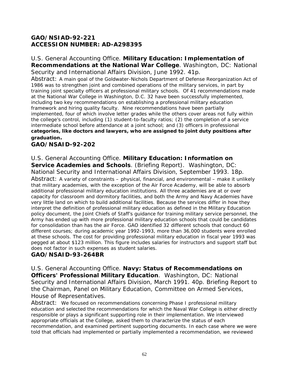### **GAO/NSIAD-92-221 ACCESSION NUMBER: AD-A298395**

#### U.S. General Accounting Office. **Military Education: Implementation of Recommendations at the National War College**. Washington, DC: National Security and International Affairs Division, June 1992. 41p.

Abstract: A main goal of the Goldwater-Nichols Department of Defense Reorganization Act of 1986 was to strengthen joint and combined operations of the military services, in part by training joint specialty officers at professional military schools. Of 41 recommendations made at the National War College in Washington, D.C. 32 have been successfully implemented, including two key recommendations on establishing a professional military education framework and hiring quality faculty. Nine recommendations have been partially implemented, four of which involve letter grades while the others cover areas not fully within the college's control, including (1) student-to-faculty ratios; (2) the completion of a service intermediate school before attendance at a joint school; and (3) officers in professional **categories, like doctors and lawyers, who are assigned to joint duty positions after graduation.** 

### **GAO/NSAID-92-202**

#### U.S. General Accounting Office. **Military Education: Information on**

**Service Academies and Schools**. (Briefing Report). Washington, DC: National Security and International Affairs Division, September 1993. 18p.

Abstract: A variety of constraints – physical, financial, and environmental – make it unlikely that military academies, with the exception of the Air Force Academy, will be able to absorb additional professional military education institutions. All three academies are at or over capacity for classroom and dormitory facilities, and both the Army and Navy Academies have very little land on which to build additional facilities. Because the services differ in how they interpret the definition of professional military education as defined in the Military Education policy document, the Joint Chiefs of Staff's guidance for training military service personnel, the Army has ended up with more professional military education schools that could be candidates for consolidation than has the air Force. GAO identified 32 different schools that conduct 60 different courses; during academic year 1992-1993, more than 36,000 students were enrolled at these schools. The cost for providing professional military education in fiscal year 1993 was pegged at about \$123 million. This figure includes salaries for instructors and support staff but does not factor in such expenses as student salaries.

#### **GAO/NSAID-93-264BR**

U.S. General Accounting Office. **Navy: Status of Recommendations on Officers' Professional Military Education**. Washington, DC: National Security and International Affairs Division, March 1991. 40p. Briefing Report to the Chairman, Panel on Military Education, Committee on Armed Services, House of Representatives.

Abstract: We focused on recommendations concerning Phase I professional military education and selected the recommendations for which the Naval War College is either directly responsible or plays a significant supporting role in their implementation. We interviewed appropriate officials at the College, asked them to characterize the status of each recommendation, and examined pertinent supporting documents. In each case where we were told that officials had implemented or partially implemented a recommendation, we reviewed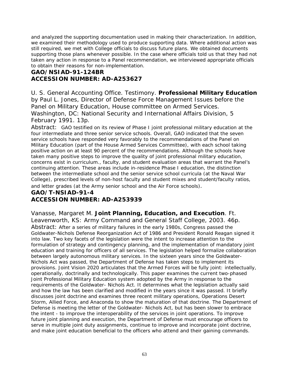and analyzed the supporting documentation used in making their characterization. In addition, we examined their methodology used to produce supporting data. Where additional action was still required, we met with College officials to discuss future plans. We obtained documents supporting those plans whenever possible. In the case where officials told us that they had not taken any action in response to a Panel recommendation, we interviewed appropriate officials to obtain their reasons for non-implementation.

### **GAO/NSIAD-91-124BR ACCESSION NUMBER: AD-A253627**

U. S. General Accounting Office. Testimony. **Professional Military Education** by Paul L. Jones, Director of Defense Force Management Issues before the Panel on Military Education, House committee on Armed Services. Washington, DC: National Security and International Affairs Division, 5 February 1991. 13p.

Abstract: GAO testified on its review of Phase I joint professional military education at the four intermediate and three senior service schools. Overall, GAO indicated that the seven service schools have responded very favorably to the recommendations of the Panel on Military Education (part of the House Armed Services Committee), with each school taking positive action on at least 90 percent of the recommendations. Although the schools have taken many positive steps to improve the quality of joint professional military education, concerns exist in curriculum., faculty, and student evaluation areas that warrant the Panel's continuing attention. These areas include in-residence Phase I education, the distinction between the intermediate school and the senior service school curricula (at the Naval War College), prescribed levels of non-host faculty and student mixes and student/faculty ratios, and letter grades (at the Army senior school and the Air Force schools).

### **GAO/T-NSIAD-91-4 ACCESSION NUMBER: AD-A253939**

Vanasse, Margaret M. **Joint Planning, Education, and Execution**. Ft. Leavenworth, KS: Army Command and General Staff College, 2003. 46p.

Abstract: After a series of military failures in the early 1980s, Congress passed the Goldwater-Nichols Defense Reorganization Act of 1986 and President Ronald Reagan signed it into law. Two key facets of the legislation were the intent to increase attention to the formulation of strategy and contingency planning, and the implementation of mandatory joint education and training for officers of all services. The legislation helped formalize collaboration between largely autonomous military services. In the sixteen years since the Goldwater-Nichols Act was passed, the Department of Defense has taken steps to implement its provisions. Joint Vision 2020 articulates that the Armed Forces will be fully joint: intellectually, operationally, doctrinally and technologically. This paper examines the current two-phased Joint Professional Military Education system adopted by the Army in response to the requirements of the Goldwater- Nichols Act. It determines what the legislation actually said and how the law has been clarified and modified in the years since it was passed. It briefly discusses joint doctrine and examines three recent military operations, Operations Desert Storm, Allied Force, and Anaconda to show the maturation of that doctrine. The Department of Defense is meeting the letter of the Goldwater- Nichols Act, but has been slower to embrace the intent - to improve the interoperability of the services in joint operations. To improve future joint planning and execution, the Department of Defense must encourage officers to serve in multiple joint duty assignments, continue to improve and incorporate joint doctrine, and make joint education beneficial to the officers who attend and their gaining commands.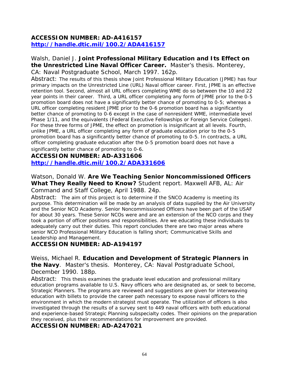#### **ACCESSION NUMBER: AD-A416157 <http://handle.dtic.mil/100.2/ADA416157>**

#### Walsh, Daniel J. **Joint Professional Military Education and Its Effect on the Unrestricted Line Naval Officer Career.** Master's thesis. Monterey, CA: Naval Postgraduate School, March 1997. 162p.

Abstract: The results of this thesis show Joint Professional Military Education (JPME) has four primary impacts on the Unrestricted Line (URL) Naval officer career. First, JPME is an effective retention tool. Second, almost all URL officers completing WME do so between the 10 and 22 year points in their career. Third, a URL officer completing any form of JPME prior to the 0-5 promotion board does not have a significantly better chance of promoting to 0-5; whereas a URL officer completing resident JPME prior to the 0-6 promotion board has a significantly better chance of promoting to 0-6 except in the case of nonresident WME, intermediate level Phase 1/11, and the equivalents (Federal Executive Fellowships or Foreign Service Colleges). For these three forms of JPME, the effect on promotion is insignificant at all levels. Fourth, unlike JPME, a URL officer completing any form of graduate education prior to the 0-5 promotion board has a significantly better chance of promoting to 0-5. In contracts, a URL officer completing graduate education after the 0-5 promotion board does not have a significantly better chance of promoting to 0-6.

**ACCESSION NUMBER: AD-A331606 <http://handle.dtic.mil/100.2/ADA331606>**

Watson, Donald W. **Are We Teaching Senior Noncommissioned Officers What They Really Need to Know?** Student report. Maxwell AFB, AL: Air Command and Staff College, April 1988. 24p.

Abstract: The aim of this project is to determine if the SNCO Academy is meeting its purpose. This determination will be made by an analysis of data supplied by the Air University and the Senior NCO Academy. Senior Noncommissioned Officers have been part of the USAF for about 30 years. These Senior NCOs were and are an extension of the NCO corps and they took a portion of officer positions and responsibilities. Are we educating these individuals to adequately carry out their duties. This report concludes there are two major areas where senior NCO Professional Military Education is falling short; Communicative Skills and Leadership and Management.

#### **ACCESSION NUMBER: AD-A194197**

Weiss, Michael R. **Education and Development of Strategic Planners in the Navy**. Master's thesis. Monterey, CA: Naval Postgraduate School, December 1990. 188p.

Abstract: This thesis examines the graduate level education and professional military education programs available to U.S. Navy officers who are designated as, or seek to become, Strategic Planners. The programs are reviewed and suggestions are given for interweaving education with billets to provide the career path necessary to expose naval officers to the environment in which the modern strategist must operate. The utilization of officers is also investigated through the results of a survey sent to 449 naval officers with both educational and experience-based Strategic Planning subspecialty codes. Their opinions on the preparation they received, plus their recommendations for improvement are provided.

#### **ACCESSION NUMBER: AD-A247021**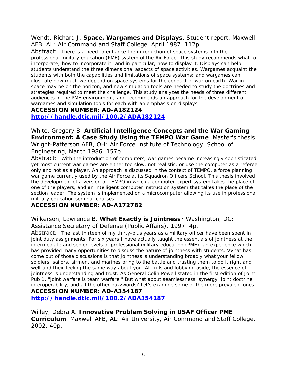Wendt, Richard J. **Space, Wargames and Displays**. Student report. Maxwell AFB, AL: Air Command and Staff College, April 1987. 112p.

Abstract: There is a need to enhance the introduction of space systems into the professional military education (PME) system of the Air Force. This study recommends what to incorporate; how to incorporate it; and in particular, how to display it. Displays can help students understand the three dimensional aspects of space activities. Wargames acquaint the students with both the capabilities and limitations of space systems; and wargames can illustrate how much we depend on space systems for the conduct of war on earth. War in space may be on the horizon, and new simulation tools are needed to study the doctrines and strategies required to meet the challenge. This study analyzes the needs of three different audiences in the PME environment; and recommends an approach for the development of wargames and simulation tools for each with an emphasis on displays.

#### **ACCESSION NUMBER: AD-A182124**

**<http://handle.dtic.mil/100.2/ADA182124>**

White, Gregory B. **Artificial Intelligence Concepts and the War Gaming Environment: A Case Study Using the TEMPO War Game**. Master's thesis. Wright-Patterson AFB, OH: Air Force Institute of Technology, School of Engineering, March 1986. 157p.

Abstract: With the introduction of computers, war games became increasingly sophisticated yet most current war games are either too slow, not realistic, or use the computer as a referee only and not as a player. An approach is discussed in the context of TEMPO, a force planning war game currently used by the Air Force at its Squadron Officers School. This thesis involved the development of a version of TEMPO in which a computer expert system takes the place of one of the players, and an intelligent computer instruction system that takes the place of the section leader. The system is implemented on a microcomputer allowing its use in professional military education seminar courses.

#### **ACCESSION NUMBER: AD-A172782**

Wilkerson, Lawrence B. **What Exactly is Jointness**? Washington, DC: Assistance Secretary of Defense (Public Affairs), 1997. 4p.

Abstract: The last thirteen of my thirty-plus years as a military officer have been spent in joint duty assignments. For six years I have actually taught the essentials of jointness at the intermediate and senior levels of professional military education (PME), an experience which has provided many opportunities to discuss the nature of jointness with students. VVhat has come out of those discussions is that jointness is understanding broadly what your fellow soldiers, sailors, airmen, and marines bring to the battle and trusting them to do it right and well-and their feeling the same way about you. All frills and lobbying aside, the essence of jointness is understanding and trust. As General Colin Powell stated in the first edition of Joint Pub 1, "jolnt warfare is team warfare." But what about seamlessness, synergy, joint doctrine, interoperability, and all the other buzzwords? Let's examine some of the more prevalent ones.

**ACCESSION NUMBER: AD-A354187** 

**<http://handle.dtic.mil/100.2/ADA354187>**

Willey, Debra A. **Innovative Problem Solving in USAF Officer PME Curriculum**. Maxwell AFB, AL: Air University, Air Command and Staff College, 2002. 40p.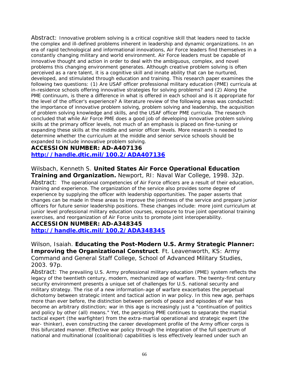Abstract: Innovative problem solving is a critical cognitive skill that leaders need to tackle the complex and ill-defined problems inherent in leadership and dynamic organizations. In an era of rapid technological and informational innovations, Air Force leaders find themselves in a constantly changing military and world environment. Air Force leaders must be capable of innovative thought and action in order to deal with the ambiguous, complex, and novel problems this changing environment generates. Although creative problem solving is often perceived as a rare talent, it is a cognitive skill and innate ability that can be nurtured, developed, and stimulated through education and training. This research paper examines the following two questions: (1) Are USAF officer professional military education (PME) curricula at in-residence schools offering innovative strategies for solving problems? and (2) Along the PME continuum, is there a difference in what is offered in each school and is it appropriate for the level of the officer's experience? A literature review of the following areas was conducted: the importance of innovative problem solving, problem solving and leadership, the acquisition of problem solving knowledge and skills, and the USAF officer PME curricula. The research concluded that while Air Force PME does a good job of developing innovative problem solving skills at the primary officer levels, not much of an emphasis is placed on fine-tuning or expanding these skills at the middle and senior officer levels. More research is needed to determine whether the curriculum at the middle and senior service schools should be expanded to include innovative problem solving.

### **ACCESSION NUMBER: AD-A407136 <http://handle.dtic.mil/100.2/ADA407136>**

Wilsbach, Kenneth S. **United States Air Force Operational Education Training and Organization.** Newport, RI: Naval War College, 1998. 32p.

Abstract: The operational competencies of Air Force officers are a result of their education, training and experience. The organization of the service also provides some degree of experience by supplying the officer with leadership opportunities. The paper asserts that changes can be made in these areas to improve the jointness of the service and prepare junior officers for future senior leadership positions. These changes include: more joint curriculum at junior level professional military education courses, exposure to true joint operational training exercises, and reorganization of Air Force units to promote joint interoperability.

#### **ACCESSION NUMBER: AD-A348345**

**<http://handle.dtic.mil/100.2/ADA348345>**

Wilson, Isaiah. **Educating the Post-Modern U.S. Army Strategic Planner: Improving the Organizational Construct**. Ft. Leavenworth, KS: Army Command and General Staff College, School of Advanced Military Studies, 2003. 97p.

Abstract: The prevailing U.S. Army professional military education (PME) system reflects the legacy of the twentieth century, modern, mechanized age of warfare. The twenty-first century security environment presents a unique set of challenges for U.S. national security and military strategy. The rise of a new information-age of warfare exacerbates the perpetual dichotomy between strategic intent and tactical action in war policy. In this new age, perhaps more than ever before, the distinction between periods of peace and episodes of war has become an arbitrary distinction; war in this age is increasingly just a "continuation of politics and policy by other (all) means." Yet, the persisting PME continues to separate the martial tactical expert (the warfighter) from the extra-martial operational and strategic expert (the war- thinker), even constructing the career development profile of the Army officer corps is this bifurcated manner. Effective war policy through the integration of the full spectrum of national and multinational (coalitional) capabilities is less effectively learned under such an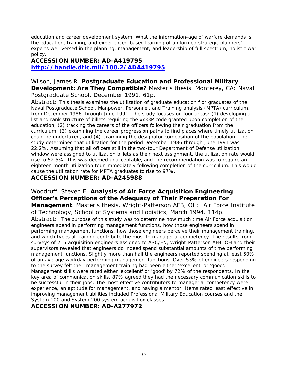education and career development system. What the information-age of warfare demands is the education, training, and experienced-based learning of uniformed strategic planners' experts well versed in the planning, management, and leadership of full spectrum, holistic war policy.

#### **ACCESSION NUMBER: AD-A419795 <http://handle.dtic.mil/100.2/ADA419795>**

Wilson, James R. **Postgraduate Education and Professional Military Development: Are They Compatible?** Master's thesis. Monterey, CA: Naval Postgraduate School, December 1991. 61p.

Abstract: This thesis examines the utilization of graduate education f or graduates of the Naval Postgraduate School, Manpower, Personnel, and Training analysis (MPTA) curriculum, from December 1986 through June 1991. The study focuses on four areas: (1) developing a list and rank structure of billets requiring the xx33P code granted upon completion of the education, (2) tracking the careers of the officers following their graduation from the curriculum, (3) examining the career progression paths to find places where timely utilization could be undertaken, and (4) examining the designator composition of the population. The study determined that utilization for the period December 1986 through June 1991 was 22.2%. Assuming that all officers still in the two-tour Department of Defense utilization window were assigned to utilization billets as their next assignment, the utilization rate would rise to 52.5%. This was deemed unacceptable, and the recommendation was to require an eighteen month utilization tour immediately following completion of the curriculum. This would cause the utilization rate for MPTA graduates to rise to 97%.

#### **ACCESSION NUMBER: AD-A245988**

Woodruff, Steven E. **Analysis of Air Force Acquisition Engineering Officer's Perceptions of the Adequacy of Their Preparation For Management**. Master's thesis. Wright-Patterson AFB, OH: Air Force Institute of Technology, School of Systems and Logistics, March 1994. 114p. Abstract: The purpose of this study was to determine how much time Air Force acquisition engineers spend in performing management functions, how those engineers spend in performing management functions, how those engineers perceive their management training, and which types of training contribute the most to managerial competency. The results from surveys of 215 acquisition engineers assigned to ASC/EN, Wright-Patterson AFB, OH and their supervisors revealed that engineers do indeed spend substantial amounts of time performing management functions. Slightly more than half the engineers reported spending at least 50% of an average workday performing management functions. Over 53% of engineers responding to the survey felt their management training had been either 'excellent' or 'good'. Management skills were rated either 'excellent' or 'good' by 72% of the respondents. In the key area of communication skills, 87% agreed they had the necessary communication skills to be successful in their jobs. The most effective contributors to managerial competency were experience, an aptitude for management, and having a mentor. Items rated least effective in improving management abilities included Professional Military Education courses and the System 100 and System 200 system acquisition classes.

#### **ACCESSION NUMBER: AD-A277972**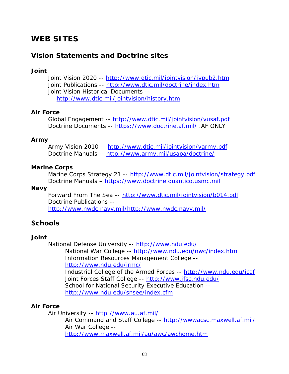## **WEB SITES**

### **Vision Statements and Doctrine sites**

#### *Joint*

*Joint Vision 2020* -- [http://www.dtic.mil/jointvision/jvpub2.htm](http://www.dtic.dla.mil/doctrine/jv2010/) Joint Publications -- [http://www.dtic.mil/doctrine/index.htm](http://www.dtic.mil/doctrine/jel/jointpub.htm) Joint Vision Historical Documents - <http://www.dtic.mil/jointvision/history.htm>

#### *Air Force*

*Global Engagement* -- [http://www.dtic.mil/jointvision/vusaf.pdf](http://www.xp.hq.af.mil/xpx/21/nuvis.htm) Doctrine Documents -- <https://www.doctrine.af.mil/>.AF ONLY

#### *Army*

*Army Vision 2010* -- [http://www.dtic.mil/jointvision/varmy.pdf](http://www.army.mil/2010/) Doctrine Manuals -- [http://www.army.mil/usapa/doctrine/](http://www-cgsc.army.mil/cdd/doc-lib.htm)

#### *Marine Corps*

*Marine Corps Strategy 21* -- [http://www.dtic.mil/jointvision/strategy.pdf](http://www.dtic.mil/doctrine/jv2010/usmc/usmcvpub.htm) Doctrine Manuals – [https://www.doctrine.quantico.usmc.mil](https://www.doctrine.quantico.usmc.mil/) 

#### *Navy*

*Forward From The Sea* -- [http://www.dtic.mil/jointvision/b014.pdf](http://www.dtic.mil/doctrine/jv2010/navy/navyvpub.htm) Doctrine Publications - <http://www.nwdc.navy.mil/http://www.nwdc.navy.mil/>

### **Schools**

#### *Joint*

National Defense University --<http://www.ndu.edu/> National War College -- <http://www.ndu.edu/nwc/index.htm> Information Resources Management College - <http://www.ndu.edu/irmc/> Industrial College of the Armed Forces -- <http://www.ndu.edu/icaf> Joint Forces Staff College -- <http://www.jfsc.ndu.edu/> School for National Security Executive Education - <http://www.ndu.edu/snsee/index.cfm>

#### *Air Force*

Air University --<http://www.au.af.mil/> Air Command and Staff College -- <http://wwwacsc.maxwell.af.mil/> Air War College - <http://www.maxwell.af.mil/au/awc/awchome.htm>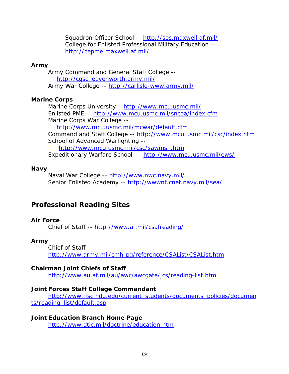Squadron Officer School --<http://sos.maxwell.af.mil/> College for Enlisted Professional Military Education - <http://cepme.maxwell.af.mil/>

#### *Army*

Army Command and General Staff College - <http://cgsc.leavenworth.army.mil/> Army War College -- <http://carlisle-www.army.mil/>

#### **Marine Corps**

Marine Corps University - <http://www.mcu.usmc.mil/> Enlisted PME -- <http://www.mcu.usmc.mil/sncoa/index.cfm> Marine Corps War College - <http://www.mcu.usmc.mil/mcwar/default.cfm> Command and Staff College --<http://www.mcu.usmc.mil/csc/index.htm> School of Advanced Warfighting - <http://www.mcu.usmc.mil/csc/sawmsn.htm> Expeditionary Warfare School -- <http://www.mcu.usmc.mil/ews/>

#### *Navy*

Naval War College -- <http://www.nwc.navy.mil/> Senior Enlisted Academy -- <http://wwwnt.cnet.navy.mil/sea/>

### **Professional Reading Sites**

#### *Air Force*

Chief of Staff -- [http://www.af.mil/csafreading/](http://www.af.mil/lib/csafbook/index.html)

#### *Army*

Chief of Staff – <http://www.army.mil/cmh-pg/reference/CSAList/CSAList.htm>

#### *Chairman Joint Chiefs of Staff*

[http://www.au.af.mil/au/awc/awcgate/jcs/reading-list.htm](http://www.dtic.mil/mil-ed/read_list.html)

#### *Joint Forces Staff College Commandant*

[http://www.jfsc.ndu.edu/current\\_students/documents\\_policies/documen](http://www.jfsc.ndu.edu/current_students/documents_policies/documents/reading_list/default.asp) [ts/reading\\_list/default.asp](http://www.jfsc.ndu.edu/current_students/documents_policies/documents/reading_list/default.asp)

**Joint Education Branch Home Page**  <http://www.dtic.mil/doctrine/education.htm>